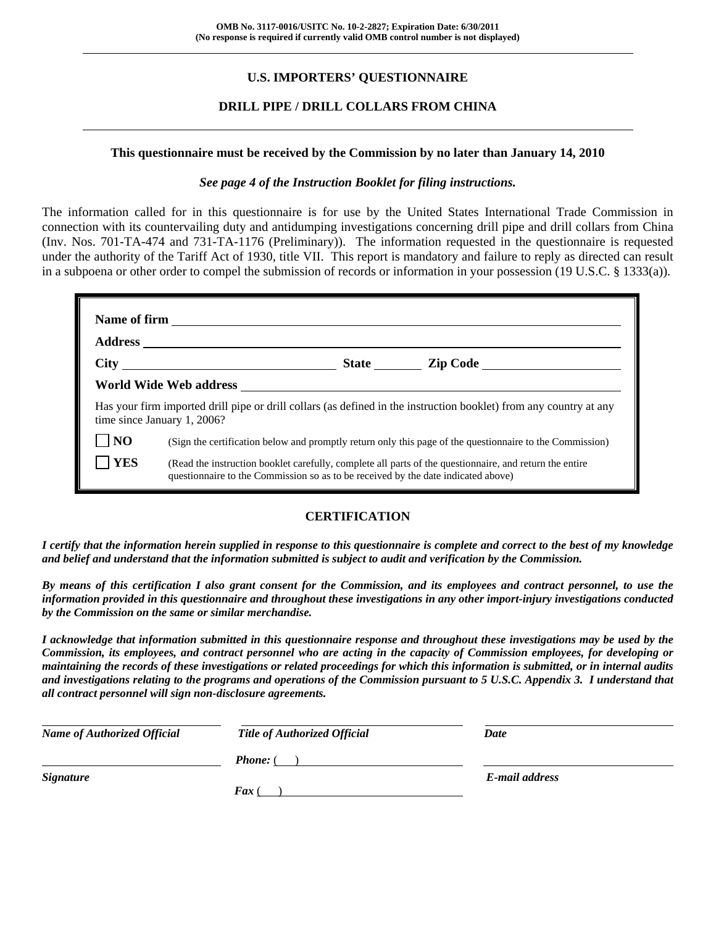# **U.S. IMPORTERS' QUESTIONNAIRE**

# **DRILL PIPE / DRILL COLLARS FROM CHINA**

#### **This questionnaire must be received by the Commission by no later than January 14, 2010**

#### *See page 4 of the Instruction Booklet for filing instructions.*

The information called for in this questionnaire is for use by the United States International Trade Commission in connection with its countervailing duty and antidumping investigations concerning drill pipe and drill collars from China (Inv. Nos. 701-TA-474 and 731-TA-1176 (Preliminary)). The information requested in the questionnaire is requested under the authority of the Tariff Act of 1930, title VII. This report is mandatory and failure to reply as directed can result in a subpoena or other order to compel the submission of records or information in your possession (19 U.S.C. § 1333(a)).

|                | Has your firm imported drill pipe or drill collars (as defined in the instruction booklet) from any country at any<br>time since January 1, 2006?                                            |  |  |  |  |  |
|----------------|----------------------------------------------------------------------------------------------------------------------------------------------------------------------------------------------|--|--|--|--|--|
| N <sub>O</sub> | (Sign the certification below and promptly return only this page of the questionnaire to the Commission)                                                                                     |  |  |  |  |  |
| <b>YES</b>     | (Read the instruction booklet carefully, complete all parts of the questionnaire, and return the entire<br>questionnaire to the Commission so as to be received by the date indicated above) |  |  |  |  |  |

#### **CERTIFICATION**

*I certify that the information herein supplied in response to this questionnaire is complete and correct to the best of my knowledge and belief and understand that the information submitted is subject to audit and verification by the Commission.* 

*By means of this certification I also grant consent for the Commission, and its employees and contract personnel, to use the information provided in this questionnaire and throughout these investigations in any other import-injury investigations conducted by the Commission on the same or similar merchandise.* 

*I acknowledge that information submitted in this questionnaire response and throughout these investigations may be used by the Commission, its employees, and contract personnel who are acting in the capacity of Commission employees, for developing or maintaining the records of these investigations or related proceedings for which this information is submitted, or in internal audits and investigations relating to the programs and operations of the Commission pursuant to 5 U.S.C. Appendix 3. I understand that all contract personnel will sign non-disclosure agreements.* 

| <b>Name of Authorized Official</b> | <b>Title of Authorized Official</b> | Date           |
|------------------------------------|-------------------------------------|----------------|
|                                    | <b>Phone:</b> (                     |                |
| <b>Signature</b>                   |                                     | E-mail address |
|                                    | $\boldsymbol{F}$ ax (               |                |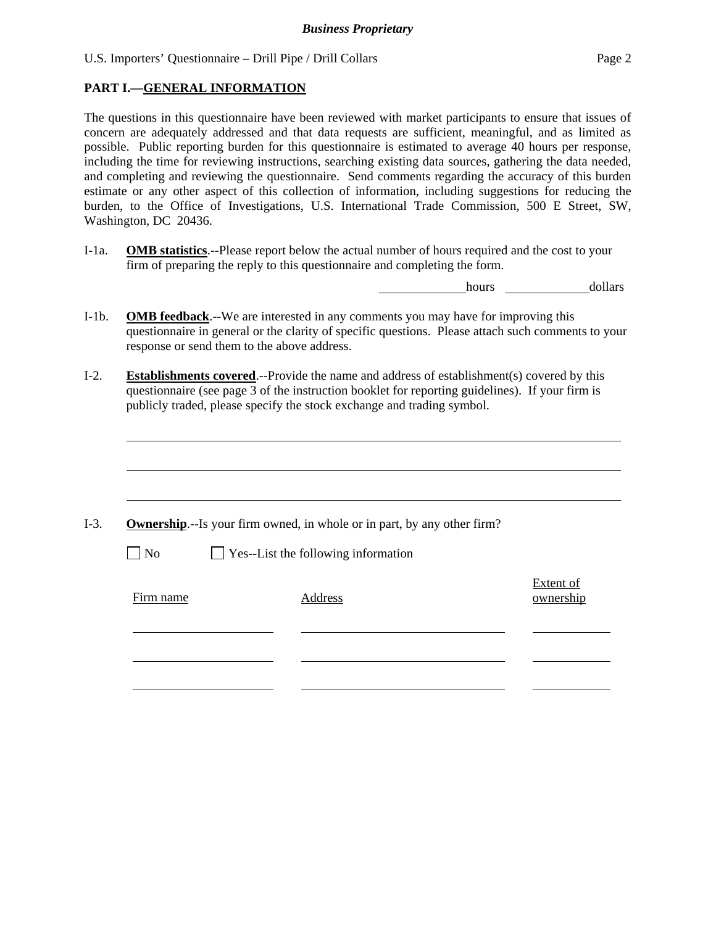### **PART I.—GENERAL INFORMATION**

 $\overline{a}$ 

The questions in this questionnaire have been reviewed with market participants to ensure that issues of concern are adequately addressed and that data requests are sufficient, meaningful, and as limited as possible. Public reporting burden for this questionnaire is estimated to average 40 hours per response, including the time for reviewing instructions, searching existing data sources, gathering the data needed, and completing and reviewing the questionnaire. Send comments regarding the accuracy of this burden estimate or any other aspect of this collection of information, including suggestions for reducing the burden, to the Office of Investigations, U.S. International Trade Commission, 500 E Street, SW, Washington, DC 20436.

I-1a. **OMB statistics**.--Please report below the actual number of hours required and the cost to your firm of preparing the reply to this questionnaire and completing the form.

hours dollars

- I-1b. **OMB feedback**.--We are interested in any comments you may have for improving this questionnaire in general or the clarity of specific questions. Please attach such comments to your response or send them to the above address.
- I-2. **Establishments covered**.--Provide the name and address of establishment(s) covered by this questionnaire (see page 3 of the instruction booklet for reporting guidelines). If your firm is publicly traded, please specify the stock exchange and trading symbol.

|           | <b>Ownership.</b> --Is your firm owned, in whole or in part, by any other firm? |                        |
|-----------|---------------------------------------------------------------------------------|------------------------|
| $\Box$ No | $\Box$ Yes--List the following information                                      |                        |
| Firm name | Address                                                                         | Extent of<br>ownership |
|           |                                                                                 |                        |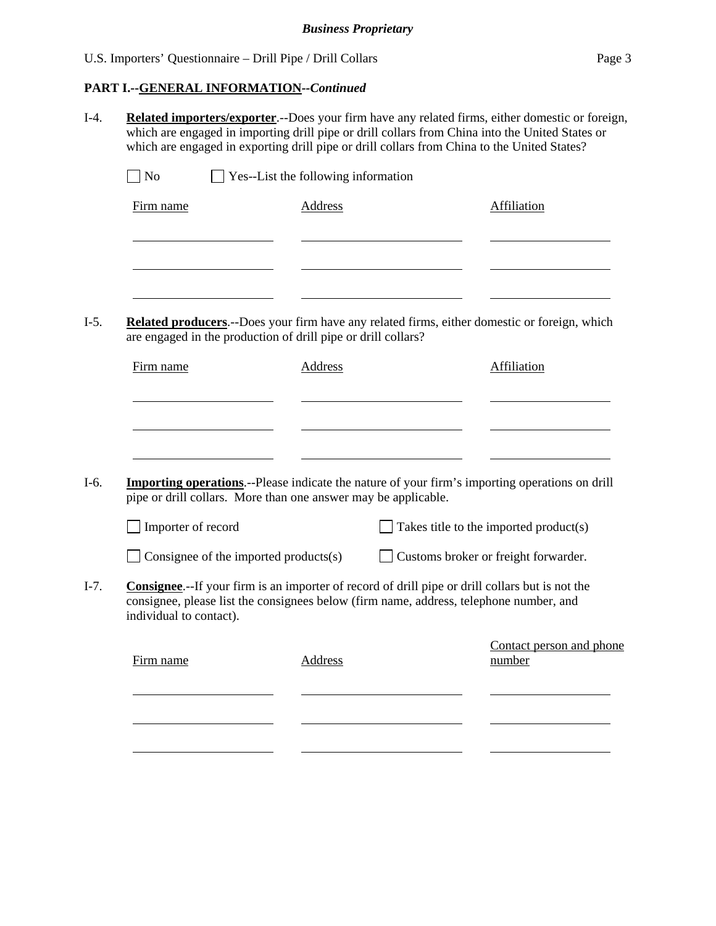# **PART I.--GENERAL INFORMATION***--Continued*

I-4. **Related importers/exporter**.--Does your firm have any related firms, either domestic or foreign, which are engaged in importing drill pipe or drill collars from China into the United States or which are engaged in exporting drill pipe or drill collars from China to the United States?  $\Box$  No  $\Box$  Yes--List the following information Firm name Address Address Affiliation l <u> 1990 - Johann Barbara, martin a</u> l l I-5. **Related producers**.--Does your firm have any related firms, either domestic or foreign, which are engaged in the production of drill pipe or drill collars? Firm name Address Address Affiliation l l l I-6. **Importing operations**.--Please indicate the nature of your firm's importing operations on drill pipe or drill collars. More than one answer may be applicable.  $\Box$  Importer of record  $\Box$  Takes title to the imported product(s) Consignee of the imported products(s) Customs broker or freight forwarder. I-7. **Consignee**.--If your firm is an importer of record of drill pipe or drill collars but is not the consignee, please list the consignees below (firm name, address, telephone number, and individual to contact). Contact person and phone Firm name Address number l l l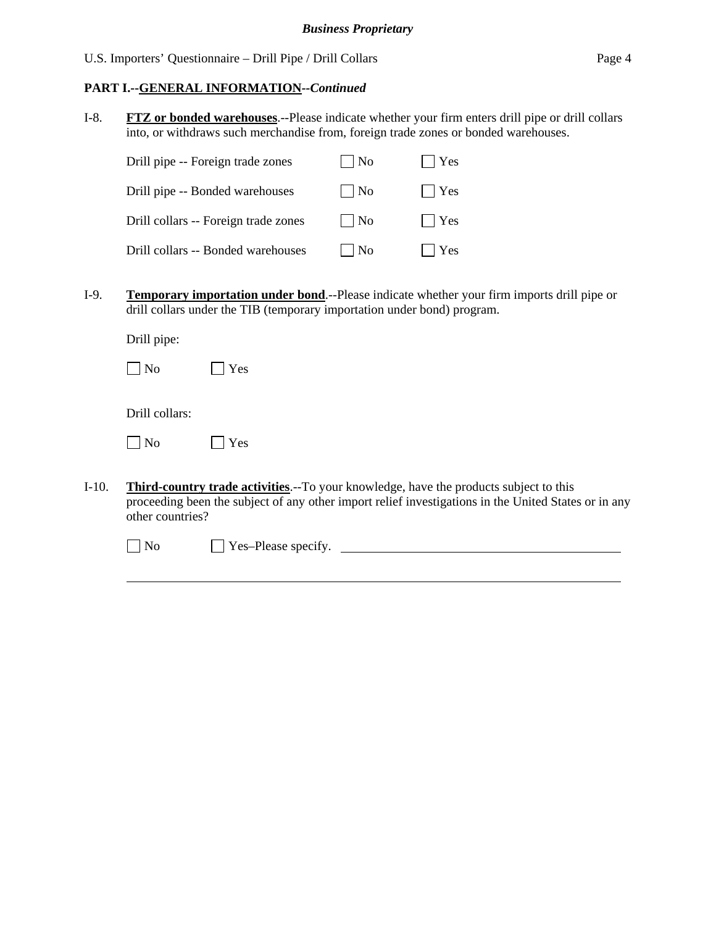### **PART I.--GENERAL INFORMATION***--Continued*

I-8. **FTZ or bonded warehouses**.--Please indicate whether your firm enters drill pipe or drill collars into, or withdraws such merchandise from, foreign trade zones or bonded warehouses.

| Drill pipe -- Foreign trade zones    | N <sub>0</sub>              | $\vert$ Yes |
|--------------------------------------|-----------------------------|-------------|
| Drill pipe -- Bonded warehouses      | $\vert$ No                  | $ $   Yes   |
| Drill collars -- Foreign trade zones | $\overline{\phantom{a}}$ No | $\Box$ Yes  |
| Drill collars -- Bonded warehouses   | -No                         | Yes         |

I-9. **Temporary importation under bond**.--Please indicate whether your firm imports drill pipe or drill collars under the TIB (temporary importation under bond) program.

Drill pipe:

| I<br>$\mathbf{N}\mathbf{O}$ | es |
|-----------------------------|----|
|-----------------------------|----|

Drill collars:

 $\overline{a}$ 

| N٥ | ΈS |
|----|----|
|----|----|

I-10. **Third-country trade activities**.--To your knowledge, have the products subject to this proceeding been the subject of any other import relief investigations in the United States or in any other countries?

No Please specify.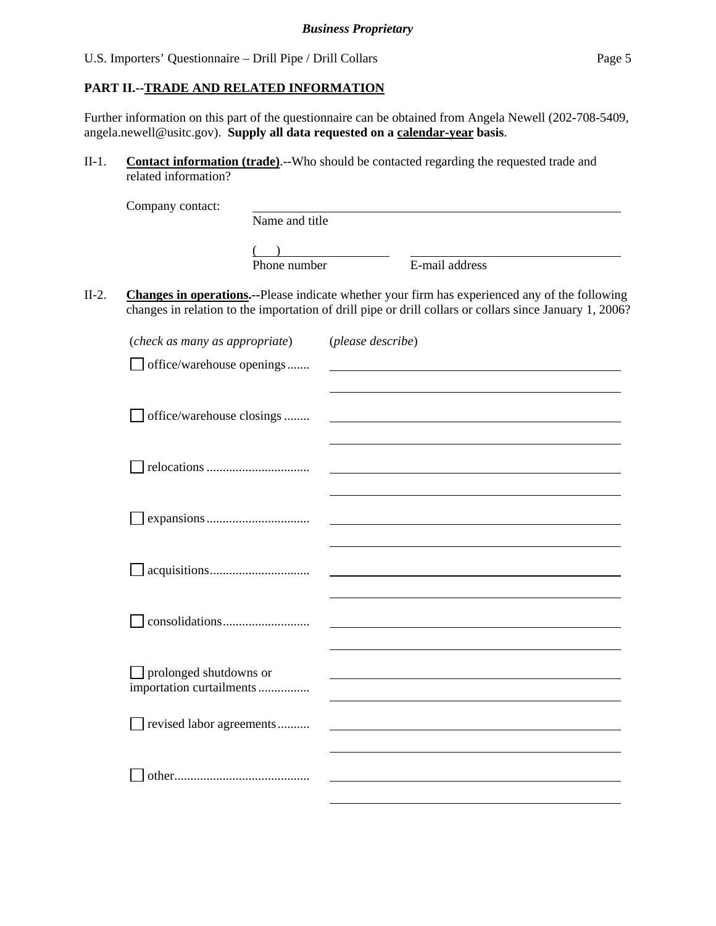# **PART II.--TRADE AND RELATED INFORMATION**

Further information on this part of the questionnaire can be obtained from Angela Newell (202-708-5409, angela.newell@usitc.gov). **Supply all data requested on a calendar-year basis**.

II-1. **Contact information (trade)**.--Who should be contacted regarding the requested trade and related information?

|         | Company contact:                                   |                |                   |                                                                                                                                                                                                           |
|---------|----------------------------------------------------|----------------|-------------------|-----------------------------------------------------------------------------------------------------------------------------------------------------------------------------------------------------------|
|         |                                                    | Name and title |                   |                                                                                                                                                                                                           |
|         |                                                    |                |                   |                                                                                                                                                                                                           |
|         |                                                    | Phone number   |                   | E-mail address                                                                                                                                                                                            |
| $II-2.$ |                                                    |                |                   | Changes in operations.--Please indicate whether your firm has experienced any of the following<br>changes in relation to the importation of drill pipe or drill collars or collars since January 1, 2006? |
|         | (check as many as appropriate)                     |                | (please describe) |                                                                                                                                                                                                           |
|         | office/warehouse openings                          |                |                   |                                                                                                                                                                                                           |
|         | office/warehouse closings                          |                |                   |                                                                                                                                                                                                           |
|         |                                                    |                |                   |                                                                                                                                                                                                           |
|         |                                                    |                |                   |                                                                                                                                                                                                           |
|         |                                                    |                |                   |                                                                                                                                                                                                           |
|         |                                                    |                |                   |                                                                                                                                                                                                           |
|         | prolonged shutdowns or<br>importation curtailments |                |                   |                                                                                                                                                                                                           |
|         | revised labor agreements                           |                |                   |                                                                                                                                                                                                           |
|         |                                                    |                |                   |                                                                                                                                                                                                           |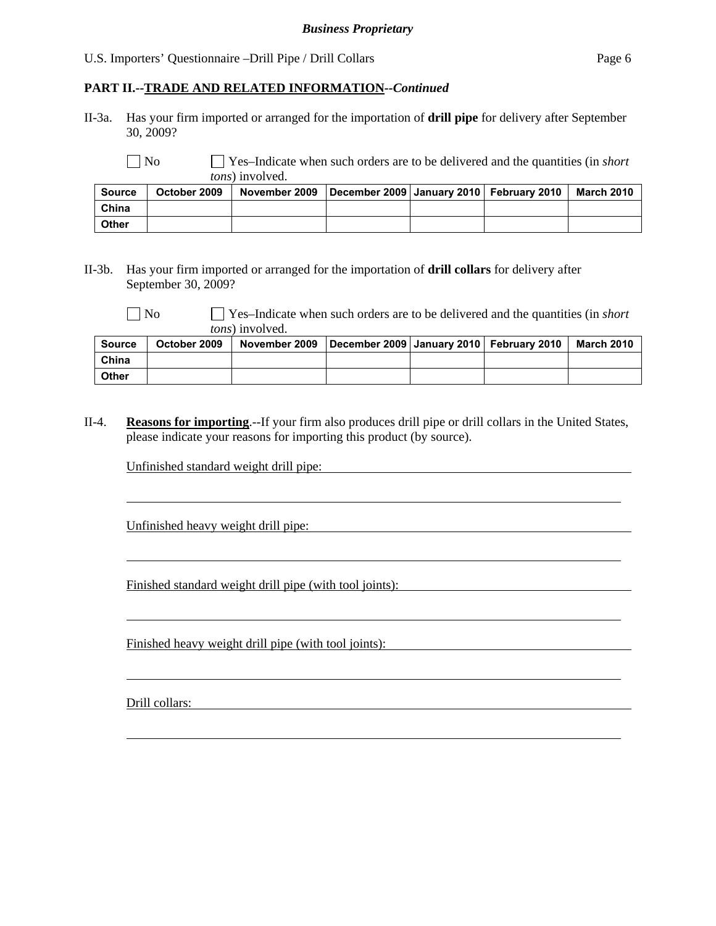#### **PART II.--TRADE AND RELATED INFORMATION***--Continued*

II-3a. Has your firm imported or arranged for the importation of **drill pipe** for delivery after September 30, 2009?

 No Yes–Indicate when such orders are to be delivered and the quantities (in *short tons*) involved.

| <b>Source</b> | October 2009 | │ November 2009    December 2009 ∣ January 2010 ∣ February 2010 |  | March 2010 |
|---------------|--------------|-----------------------------------------------------------------|--|------------|
| China         |              |                                                                 |  |            |
| <b>Other</b>  |              |                                                                 |  |            |

#### II-3b. Has your firm imported or arranged for the importation of **drill collars** for delivery after September 30, 2009?

 $\overline{a}$ 

 $\overline{a}$ 

 $\overline{a}$ 

 $\overline{a}$ 

 $\overline{a}$ 

 No Yes–Indicate when such orders are to be delivered and the quantities (in *short tons*) involved.

| Source | October 2009 | November 2009   December 2009   January 2010   February 2010 |  | <b>March 2010</b> |
|--------|--------------|--------------------------------------------------------------|--|-------------------|
| China  |              |                                                              |  |                   |
| Other  |              |                                                              |  |                   |

II-4. **Reasons for importing**.--If your firm also produces drill pipe or drill collars in the United States, please indicate your reasons for importing this product (by source).

Unfinished standard weight drill pipe:

Unfinished heavy weight drill pipe:

Finished standard weight drill pipe (with tool joints):

Finished heavy weight drill pipe (with tool joints):

Drill collars: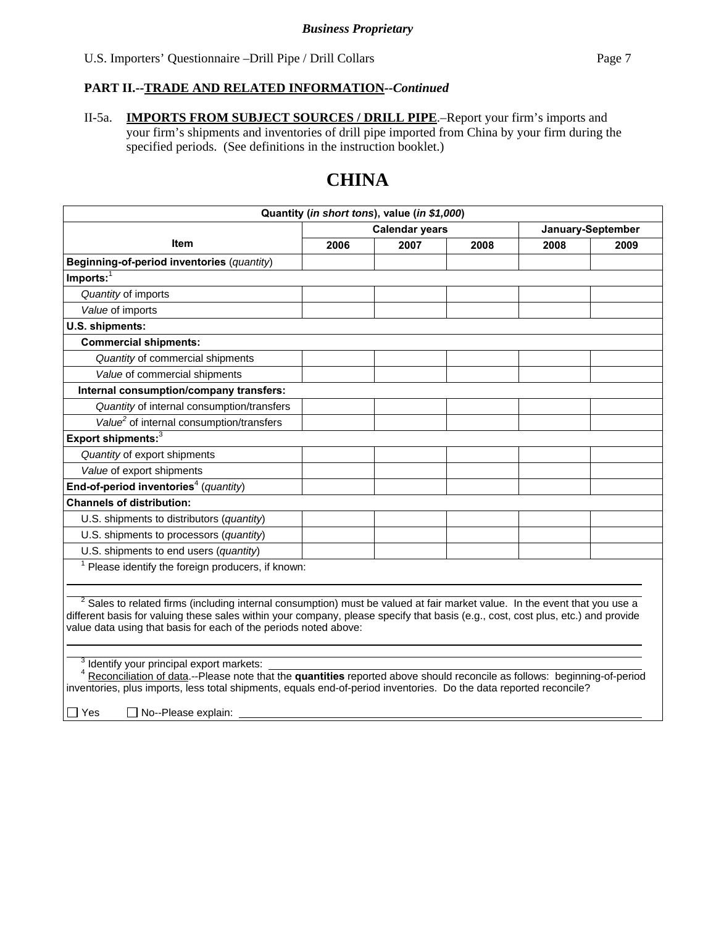II-5a. **IMPORTS FROM SUBJECT SOURCES / DRILL PIPE**.–Report your firm's imports and your firm's shipments and inventories of drill pipe imported from China by your firm during the specified periods. (See definitions in the instruction booklet.)

# **CHINA**

| Quantity (in short tons), value (in \$1,000)                                                                                                                                                                                                                                                                                                  |                                            |      |      |      |      |  |
|-----------------------------------------------------------------------------------------------------------------------------------------------------------------------------------------------------------------------------------------------------------------------------------------------------------------------------------------------|--------------------------------------------|------|------|------|------|--|
|                                                                                                                                                                                                                                                                                                                                               | <b>Calendar years</b><br>January-September |      |      |      |      |  |
| <b>Item</b>                                                                                                                                                                                                                                                                                                                                   | 2006                                       | 2007 | 2008 | 2008 | 2009 |  |
| Beginning-of-period inventories (quantity)                                                                                                                                                                                                                                                                                                    |                                            |      |      |      |      |  |
| $Imports:$ <sup>1</sup>                                                                                                                                                                                                                                                                                                                       |                                            |      |      |      |      |  |
| Quantity of imports                                                                                                                                                                                                                                                                                                                           |                                            |      |      |      |      |  |
| Value of imports                                                                                                                                                                                                                                                                                                                              |                                            |      |      |      |      |  |
| U.S. shipments:                                                                                                                                                                                                                                                                                                                               |                                            |      |      |      |      |  |
| <b>Commercial shipments:</b>                                                                                                                                                                                                                                                                                                                  |                                            |      |      |      |      |  |
| Quantity of commercial shipments                                                                                                                                                                                                                                                                                                              |                                            |      |      |      |      |  |
| Value of commercial shipments                                                                                                                                                                                                                                                                                                                 |                                            |      |      |      |      |  |
| Internal consumption/company transfers:                                                                                                                                                                                                                                                                                                       |                                            |      |      |      |      |  |
| Quantity of internal consumption/transfers                                                                                                                                                                                                                                                                                                    |                                            |      |      |      |      |  |
| Value <sup>2</sup> of internal consumption/transfers                                                                                                                                                                                                                                                                                          |                                            |      |      |      |      |  |
| Export shipments: <sup>3</sup>                                                                                                                                                                                                                                                                                                                |                                            |      |      |      |      |  |
| Quantity of export shipments                                                                                                                                                                                                                                                                                                                  |                                            |      |      |      |      |  |
| Value of export shipments                                                                                                                                                                                                                                                                                                                     |                                            |      |      |      |      |  |
| End-of-period inventories <sup>4</sup> (quantity)                                                                                                                                                                                                                                                                                             |                                            |      |      |      |      |  |
| <b>Channels of distribution:</b>                                                                                                                                                                                                                                                                                                              |                                            |      |      |      |      |  |
| U.S. shipments to distributors (quantity)                                                                                                                                                                                                                                                                                                     |                                            |      |      |      |      |  |
| U.S. shipments to processors (quantity)                                                                                                                                                                                                                                                                                                       |                                            |      |      |      |      |  |
| U.S. shipments to end users (quantity)                                                                                                                                                                                                                                                                                                        |                                            |      |      |      |      |  |
| $1$ Please identify the foreign producers, if known:                                                                                                                                                                                                                                                                                          |                                            |      |      |      |      |  |
|                                                                                                                                                                                                                                                                                                                                               |                                            |      |      |      |      |  |
| <sup>2</sup> Sales to related firms (including internal consumption) must be valued at fair market value. In the event that you use a<br>different basis for valuing these sales within your company, please specify that basis (e.g., cost, cost plus, etc.) and provide<br>value data using that basis for each of the periods noted above: |                                            |      |      |      |      |  |
| <sup>3</sup> Identify your principal export markets:<br>Reconciliation of data.--Please note that the quantities reported above should reconcile as follows: beginning-of-period<br>inventories, plus imports, less total shipments, equals end-of-period inventories. Do the data reported reconcile?<br>No--Please explain:<br>$\Box$ Yes   |                                            |      |      |      |      |  |
|                                                                                                                                                                                                                                                                                                                                               |                                            |      |      |      |      |  |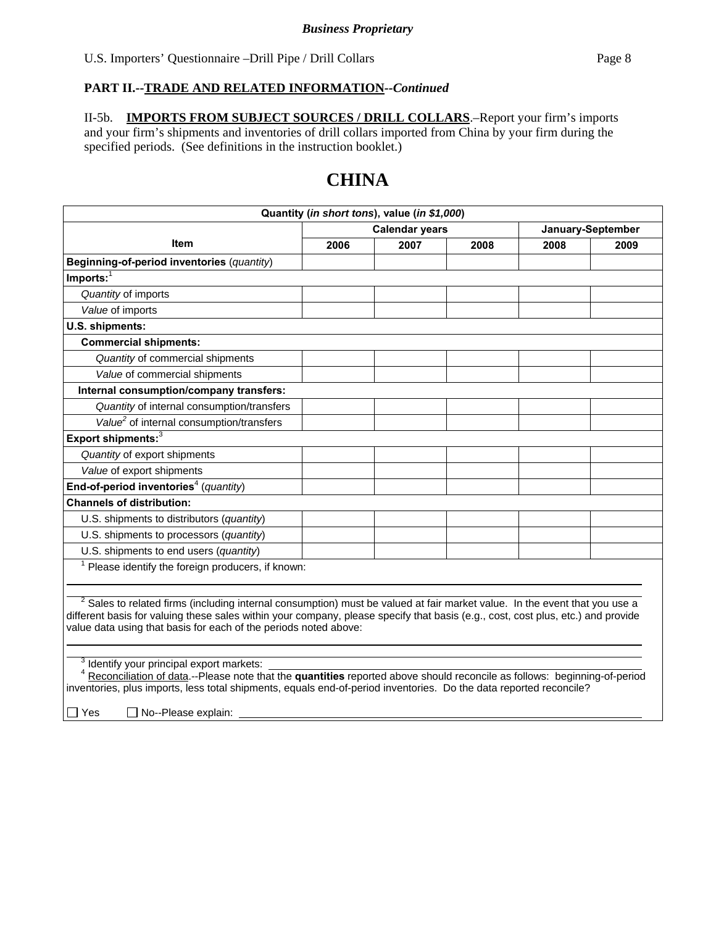II-5b. **IMPORTS FROM SUBJECT SOURCES / DRILL COLLARS**.–Report your firm's imports and your firm's shipments and inventories of drill collars imported from China by your firm during the specified periods. (See definitions in the instruction booklet.)

# **CHINA**

| Quantity (in short tons), value (in \$1,000)                                                                                                                                                                                                                                                                                         |                       |      |      |      |                   |  |
|--------------------------------------------------------------------------------------------------------------------------------------------------------------------------------------------------------------------------------------------------------------------------------------------------------------------------------------|-----------------------|------|------|------|-------------------|--|
|                                                                                                                                                                                                                                                                                                                                      | <b>Calendar years</b> |      |      |      | January-September |  |
| <b>Item</b>                                                                                                                                                                                                                                                                                                                          | 2006                  | 2007 | 2008 | 2008 | 2009              |  |
| Beginning-of-period inventories (quantity)                                                                                                                                                                                                                                                                                           |                       |      |      |      |                   |  |
| $Imports:$ <sup>1</sup>                                                                                                                                                                                                                                                                                                              |                       |      |      |      |                   |  |
| Quantity of imports                                                                                                                                                                                                                                                                                                                  |                       |      |      |      |                   |  |
| Value of imports                                                                                                                                                                                                                                                                                                                     |                       |      |      |      |                   |  |
| U.S. shipments:                                                                                                                                                                                                                                                                                                                      |                       |      |      |      |                   |  |
| <b>Commercial shipments:</b>                                                                                                                                                                                                                                                                                                         |                       |      |      |      |                   |  |
| Quantity of commercial shipments                                                                                                                                                                                                                                                                                                     |                       |      |      |      |                   |  |
| Value of commercial shipments                                                                                                                                                                                                                                                                                                        |                       |      |      |      |                   |  |
| Internal consumption/company transfers:                                                                                                                                                                                                                                                                                              |                       |      |      |      |                   |  |
| Quantity of internal consumption/transfers                                                                                                                                                                                                                                                                                           |                       |      |      |      |                   |  |
| Value <sup>2</sup> of internal consumption/transfers                                                                                                                                                                                                                                                                                 |                       |      |      |      |                   |  |
| Export shipments: $3$                                                                                                                                                                                                                                                                                                                |                       |      |      |      |                   |  |
| Quantity of export shipments                                                                                                                                                                                                                                                                                                         |                       |      |      |      |                   |  |
| Value of export shipments                                                                                                                                                                                                                                                                                                            |                       |      |      |      |                   |  |
| End-of-period inventories <sup>4</sup> (quantity)                                                                                                                                                                                                                                                                                    |                       |      |      |      |                   |  |
| <b>Channels of distribution:</b>                                                                                                                                                                                                                                                                                                     |                       |      |      |      |                   |  |
| U.S. shipments to distributors (quantity)                                                                                                                                                                                                                                                                                            |                       |      |      |      |                   |  |
| U.S. shipments to processors (quantity)                                                                                                                                                                                                                                                                                              |                       |      |      |      |                   |  |
| U.S. shipments to end users (quantity)                                                                                                                                                                                                                                                                                               |                       |      |      |      |                   |  |
| Please identify the foreign producers, if known:                                                                                                                                                                                                                                                                                     |                       |      |      |      |                   |  |
|                                                                                                                                                                                                                                                                                                                                      |                       |      |      |      |                   |  |
| $2$ Sales to related firms (including internal consumption) must be valued at fair market value. In the event that you use a<br>different basis for valuing these sales within your company, please specify that basis (e.g., cost, cost plus, etc.) and provide<br>value data using that basis for each of the periods noted above: |                       |      |      |      |                   |  |
| <sup>3</sup> Identify your principal export markets:<br>Reconciliation of data.--Please note that the quantities reported above should reconcile as follows: beginning-of-period<br>inventories, plus imports, less total shipments, equals end-of-period inventories. Do the data reported reconcile?                               |                       |      |      |      |                   |  |
| No--Please explain:<br>$\Box$ Yes                                                                                                                                                                                                                                                                                                    |                       |      |      |      |                   |  |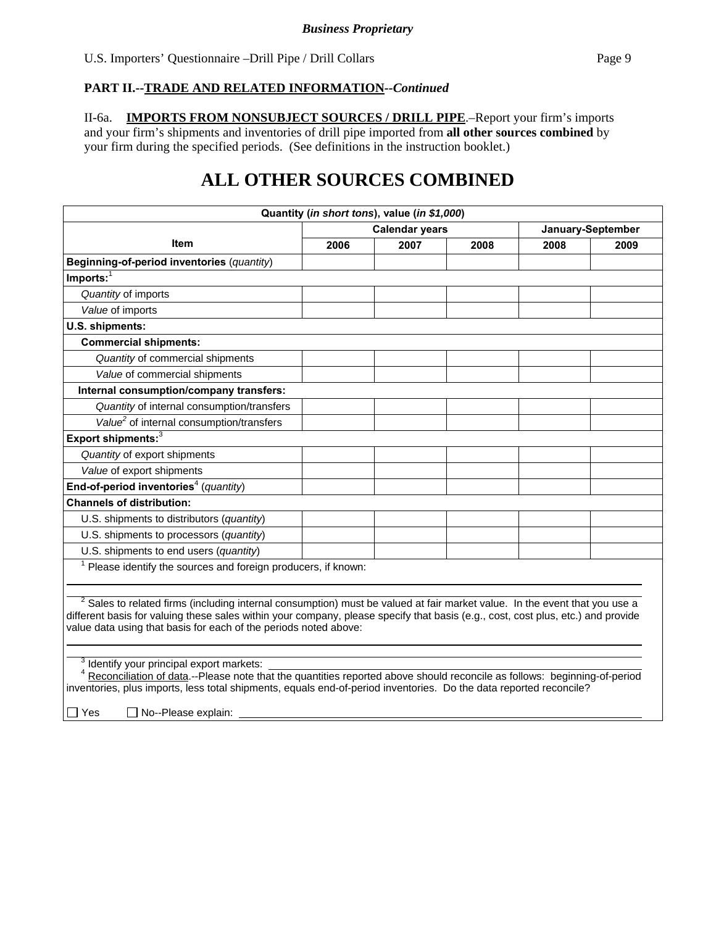II-6a. **IMPORTS FROM NONSUBJECT SOURCES / DRILL PIPE**.–Report your firm's imports and your firm's shipments and inventories of drill pipe imported from **all other sources combined** by your firm during the specified periods. (See definitions in the instruction booklet.)

# **ALL OTHER SOURCES COMBINED**

|                                                                                                                                                                                                                                                                                                                                               |      | Quantity (in short tons), value (in \$1,000) |      |      |                   |
|-----------------------------------------------------------------------------------------------------------------------------------------------------------------------------------------------------------------------------------------------------------------------------------------------------------------------------------------------|------|----------------------------------------------|------|------|-------------------|
|                                                                                                                                                                                                                                                                                                                                               |      | <b>Calendar years</b>                        |      |      | January-September |
| <b>Item</b>                                                                                                                                                                                                                                                                                                                                   | 2006 | 2007                                         | 2008 | 2008 | 2009              |
| Beginning-of-period inventories (quantity)                                                                                                                                                                                                                                                                                                    |      |                                              |      |      |                   |
| $Imports:$ <sup>1</sup>                                                                                                                                                                                                                                                                                                                       |      |                                              |      |      |                   |
| Quantity of imports                                                                                                                                                                                                                                                                                                                           |      |                                              |      |      |                   |
| Value of imports                                                                                                                                                                                                                                                                                                                              |      |                                              |      |      |                   |
| U.S. shipments:                                                                                                                                                                                                                                                                                                                               |      |                                              |      |      |                   |
| <b>Commercial shipments:</b>                                                                                                                                                                                                                                                                                                                  |      |                                              |      |      |                   |
| Quantity of commercial shipments                                                                                                                                                                                                                                                                                                              |      |                                              |      |      |                   |
| Value of commercial shipments                                                                                                                                                                                                                                                                                                                 |      |                                              |      |      |                   |
| Internal consumption/company transfers:                                                                                                                                                                                                                                                                                                       |      |                                              |      |      |                   |
| Quantity of internal consumption/transfers                                                                                                                                                                                                                                                                                                    |      |                                              |      |      |                   |
| Value <sup>2</sup> of internal consumption/transfers                                                                                                                                                                                                                                                                                          |      |                                              |      |      |                   |
| Export shipments: $3$                                                                                                                                                                                                                                                                                                                         |      |                                              |      |      |                   |
| Quantity of export shipments                                                                                                                                                                                                                                                                                                                  |      |                                              |      |      |                   |
| Value of export shipments                                                                                                                                                                                                                                                                                                                     |      |                                              |      |      |                   |
| End-of-period inventories <sup>4</sup> (quantity)                                                                                                                                                                                                                                                                                             |      |                                              |      |      |                   |
| <b>Channels of distribution:</b>                                                                                                                                                                                                                                                                                                              |      |                                              |      |      |                   |
| U.S. shipments to distributors (quantity)                                                                                                                                                                                                                                                                                                     |      |                                              |      |      |                   |
| U.S. shipments to processors (quantity)                                                                                                                                                                                                                                                                                                       |      |                                              |      |      |                   |
| U.S. shipments to end users (quantity)                                                                                                                                                                                                                                                                                                        |      |                                              |      |      |                   |
| Please identify the sources and foreign producers, if known:                                                                                                                                                                                                                                                                                  |      |                                              |      |      |                   |
|                                                                                                                                                                                                                                                                                                                                               |      |                                              |      |      |                   |
| <sup>2</sup> Sales to related firms (including internal consumption) must be valued at fair market value. In the event that you use a<br>different basis for valuing these sales within your company, please specify that basis (e.g., cost, cost plus, etc.) and provide<br>value data using that basis for each of the periods noted above: |      |                                              |      |      |                   |
| <sup>3</sup> Identify your principal export markets:<br>Reconciliation of data.--Please note that the quantities reported above should reconcile as follows: beginning-of-period<br>inventories, plus imports, less total shipments, equals end-of-period inventories. Do the data reported reconcile?<br>No--Please explain:<br>Yes          |      |                                              |      |      |                   |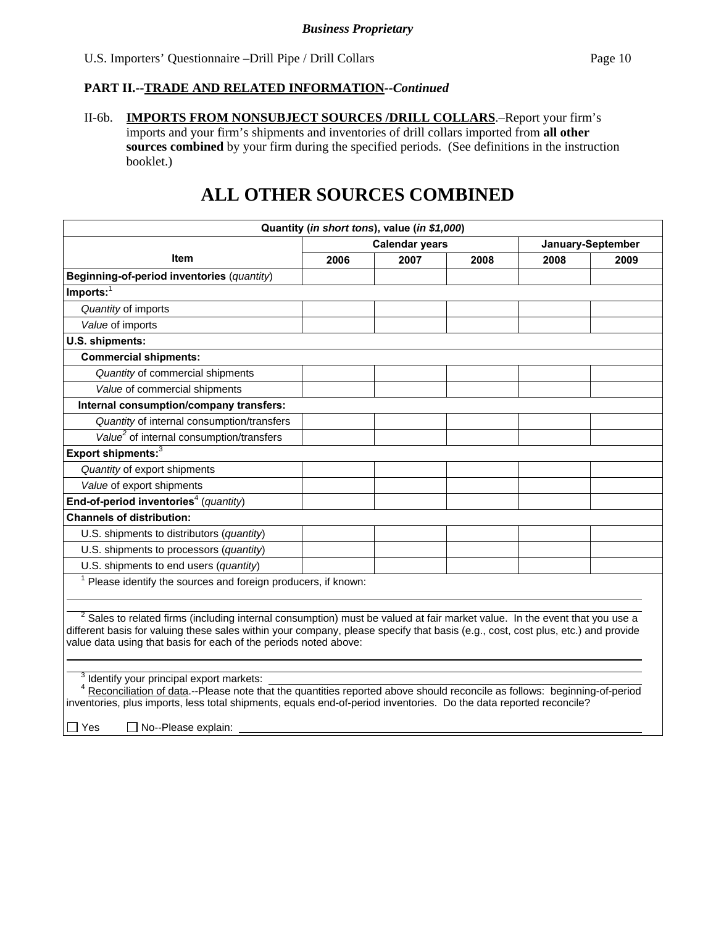II-6b. **IMPORTS FROM NONSUBJECT SOURCES /DRILL COLLARS**.–Report your firm's imports and your firm's shipments and inventories of drill collars imported from **all other**  sources combined by your firm during the specified periods. (See definitions in the instruction booklet.)

# **ALL OTHER SOURCES COMBINED**

|                                                                                                                                                                                                                                                                                                                                               |      | Quantity (in short tons), value (in \$1,000) |      |      |                   |
|-----------------------------------------------------------------------------------------------------------------------------------------------------------------------------------------------------------------------------------------------------------------------------------------------------------------------------------------------|------|----------------------------------------------|------|------|-------------------|
|                                                                                                                                                                                                                                                                                                                                               |      | <b>Calendar years</b>                        |      |      | January-September |
| <b>Item</b>                                                                                                                                                                                                                                                                                                                                   | 2006 | 2007                                         | 2008 | 2008 | 2009              |
| Beginning-of-period inventories (quantity)                                                                                                                                                                                                                                                                                                    |      |                                              |      |      |                   |
| $Imports:$ <sup>1</sup>                                                                                                                                                                                                                                                                                                                       |      |                                              |      |      |                   |
| Quantity of imports                                                                                                                                                                                                                                                                                                                           |      |                                              |      |      |                   |
| Value of imports                                                                                                                                                                                                                                                                                                                              |      |                                              |      |      |                   |
| U.S. shipments:                                                                                                                                                                                                                                                                                                                               |      |                                              |      |      |                   |
| <b>Commercial shipments:</b>                                                                                                                                                                                                                                                                                                                  |      |                                              |      |      |                   |
| Quantity of commercial shipments                                                                                                                                                                                                                                                                                                              |      |                                              |      |      |                   |
| Value of commercial shipments                                                                                                                                                                                                                                                                                                                 |      |                                              |      |      |                   |
| Internal consumption/company transfers:                                                                                                                                                                                                                                                                                                       |      |                                              |      |      |                   |
| Quantity of internal consumption/transfers                                                                                                                                                                                                                                                                                                    |      |                                              |      |      |                   |
| Value <sup>2</sup> of internal consumption/transfers                                                                                                                                                                                                                                                                                          |      |                                              |      |      |                   |
| Export shipments: <sup>3</sup>                                                                                                                                                                                                                                                                                                                |      |                                              |      |      |                   |
| Quantity of export shipments                                                                                                                                                                                                                                                                                                                  |      |                                              |      |      |                   |
| Value of export shipments                                                                                                                                                                                                                                                                                                                     |      |                                              |      |      |                   |
| End-of-period inventories <sup>4</sup> (quantity)                                                                                                                                                                                                                                                                                             |      |                                              |      |      |                   |
| <b>Channels of distribution:</b>                                                                                                                                                                                                                                                                                                              |      |                                              |      |      |                   |
| U.S. shipments to distributors (quantity)                                                                                                                                                                                                                                                                                                     |      |                                              |      |      |                   |
| U.S. shipments to processors (quantity)                                                                                                                                                                                                                                                                                                       |      |                                              |      |      |                   |
| U.S. shipments to end users (quantity)                                                                                                                                                                                                                                                                                                        |      |                                              |      |      |                   |
| Please identify the sources and foreign producers, if known:                                                                                                                                                                                                                                                                                  |      |                                              |      |      |                   |
|                                                                                                                                                                                                                                                                                                                                               |      |                                              |      |      |                   |
| <sup>2</sup> Sales to related firms (including internal consumption) must be valued at fair market value. In the event that you use a<br>different basis for valuing these sales within your company, please specify that basis (e.g., cost, cost plus, etc.) and provide<br>value data using that basis for each of the periods noted above: |      |                                              |      |      |                   |
| <sup>3</sup> Identify your principal export markets:<br>Reconciliation of data.--Please note that the quantities reported above should reconcile as follows: beginning-of-period<br>inventories, plus imports, less total shipments, equals end-of-period inventories. Do the data reported reconcile?<br>Yes<br>No--Please explain:          |      |                                              |      |      |                   |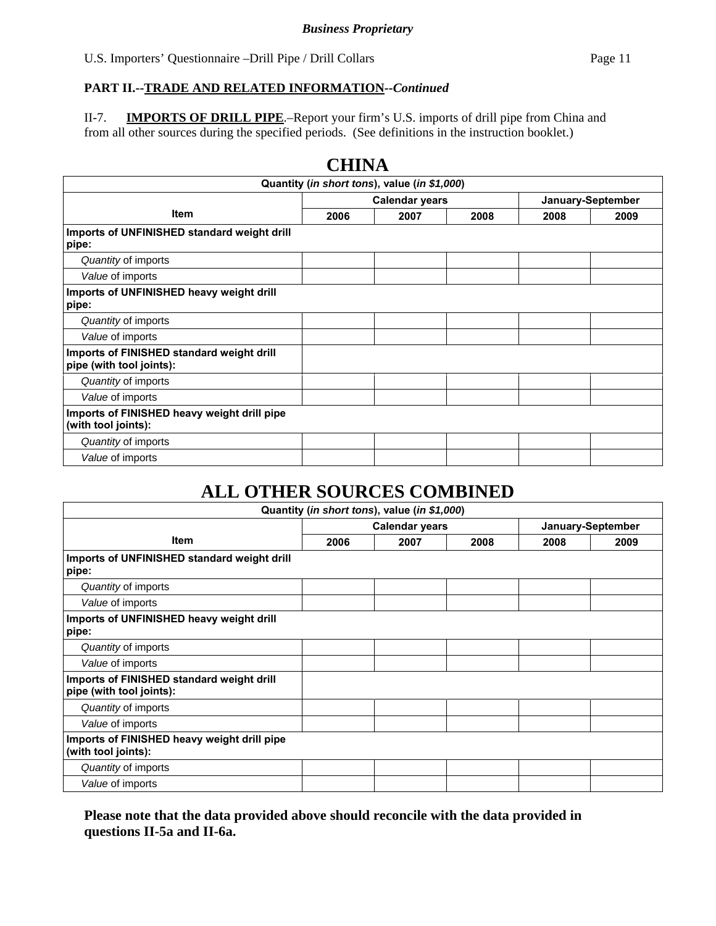# **PART II.--TRADE AND RELATED INFORMATION***--Continued*

II-7. **IMPORTS OF DRILL PIPE**.–Report your firm's U.S. imports of drill pipe from China and from all other sources during the specified periods. (See definitions in the instruction booklet.)

|                                                                       | СППТА                                      |                                              |      |      |      |
|-----------------------------------------------------------------------|--------------------------------------------|----------------------------------------------|------|------|------|
|                                                                       |                                            | Quantity (in short tons), value (in \$1,000) |      |      |      |
|                                                                       | <b>Calendar years</b><br>January-September |                                              |      |      |      |
| <b>Item</b>                                                           | 2006                                       | 2007                                         | 2008 | 2008 | 2009 |
| Imports of UNFINISHED standard weight drill<br>pipe:                  |                                            |                                              |      |      |      |
| Quantity of imports                                                   |                                            |                                              |      |      |      |
| Value of imports                                                      |                                            |                                              |      |      |      |
| Imports of UNFINISHED heavy weight drill<br>pipe:                     |                                            |                                              |      |      |      |
| Quantity of imports                                                   |                                            |                                              |      |      |      |
| Value of imports                                                      |                                            |                                              |      |      |      |
| Imports of FINISHED standard weight drill<br>pipe (with tool joints): |                                            |                                              |      |      |      |
| Quantity of imports                                                   |                                            |                                              |      |      |      |
| Value of imports                                                      |                                            |                                              |      |      |      |
| Imports of FINISHED heavy weight drill pipe<br>(with tool joints):    |                                            |                                              |      |      |      |
| Quantity of imports                                                   |                                            |                                              |      |      |      |
| Value of imports                                                      |                                            |                                              |      |      |      |

# **CHINA**

# **ALL OTHER SOURCES COMBINED**

|                                                                       |      | Quantity (in short tons), value (in \$1,000) |      |      |                   |
|-----------------------------------------------------------------------|------|----------------------------------------------|------|------|-------------------|
|                                                                       |      | <b>Calendar years</b>                        |      |      | January-September |
| <b>Item</b>                                                           | 2006 | 2007                                         | 2008 | 2008 | 2009              |
| Imports of UNFINISHED standard weight drill<br>pipe:                  |      |                                              |      |      |                   |
| Quantity of imports                                                   |      |                                              |      |      |                   |
| Value of imports                                                      |      |                                              |      |      |                   |
| Imports of UNFINISHED heavy weight drill<br>pipe:                     |      |                                              |      |      |                   |
| Quantity of imports                                                   |      |                                              |      |      |                   |
| Value of imports                                                      |      |                                              |      |      |                   |
| Imports of FINISHED standard weight drill<br>pipe (with tool joints): |      |                                              |      |      |                   |
| Quantity of imports                                                   |      |                                              |      |      |                   |
| Value of imports                                                      |      |                                              |      |      |                   |
| Imports of FINISHED heavy weight drill pipe<br>(with tool joints):    |      |                                              |      |      |                   |
| Quantity of imports                                                   |      |                                              |      |      |                   |
| Value of imports                                                      |      |                                              |      |      |                   |

# **Please note that the data provided above should reconcile with the data provided in questions II-5a and II-6a.**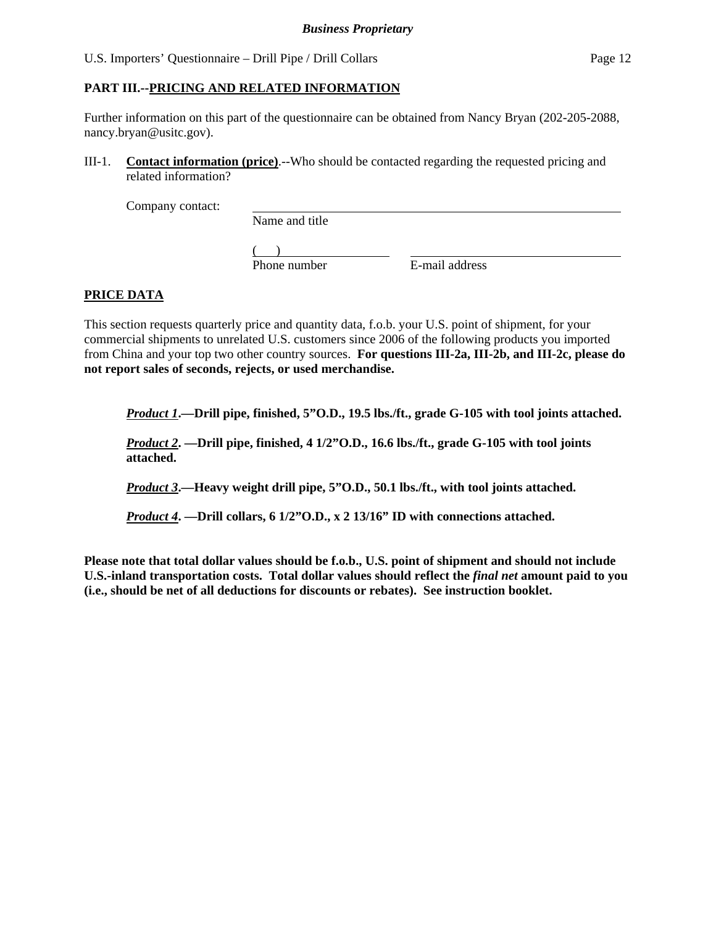# **PART III.--PRICING AND RELATED INFORMATION**

Further information on this part of the questionnaire can be obtained from Nancy Bryan (202-205-2088, nancy.bryan@usitc.gov).

III-1. **Contact information (price)**.--Who should be contacted regarding the requested pricing and related information?

Company contact:

Name and title

 $($ Phone number E-mail address

# **PRICE DATA**

This section requests quarterly price and quantity data, f.o.b. your U.S. point of shipment, for your commercial shipments to unrelated U.S. customers since 2006 of the following products you imported from China and your top two other country sources. **For questions III-2a, III-2b, and III-2c, please do not report sales of seconds, rejects, or used merchandise.**

*Product 1***.—Drill pipe, finished, 5"O.D., 19.5 lbs./ft., grade G-105 with tool joints attached.** 

*Product 2***. —Drill pipe, finished, 4 1/2"O.D., 16.6 lbs./ft., grade G-105 with tool joints attached.** 

*Product 3***.—Heavy weight drill pipe, 5"O.D., 50.1 lbs./ft., with tool joints attached.** 

*Product 4***. —Drill collars, 6 1/2"O.D., x 2 13/16" ID with connections attached.** 

**Please note that total dollar values should be f.o.b., U.S. point of shipment and should not include U.S.-inland transportation costs. Total dollar values should reflect the** *final net* **amount paid to you (i.e., should be net of all deductions for discounts or rebates). See instruction booklet.**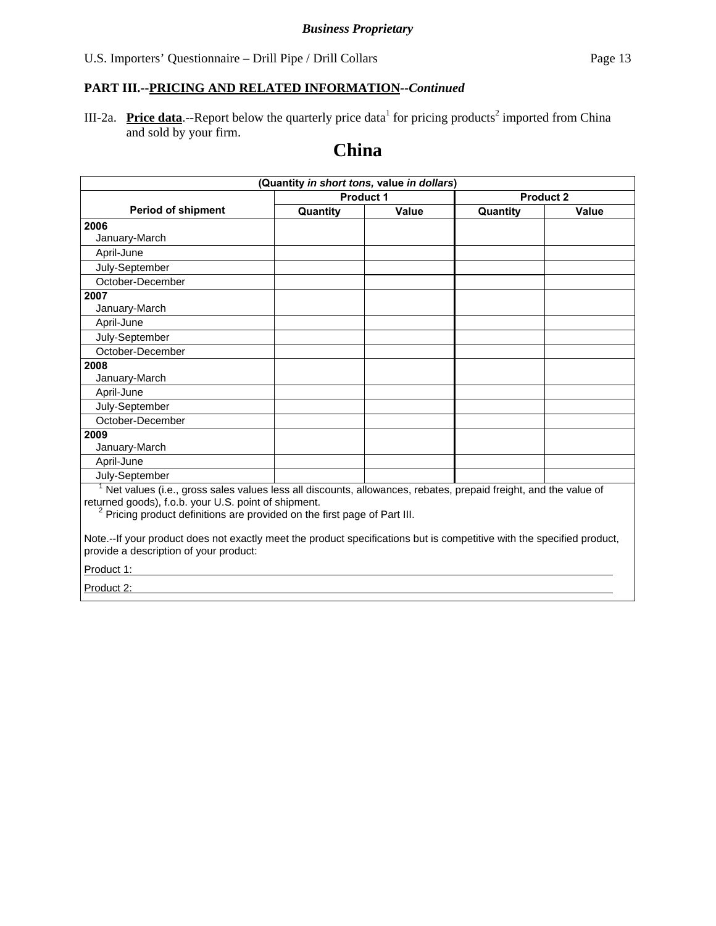III-2a. **Price data**.--Report below the quarterly price data<sup>1</sup> for pricing products<sup>2</sup> imported from China and sold by your firm.

# **China**

|                                                                                                                                                                                                                                                                 |          | (Quantity in short tons, value in dollars) |          |                  |
|-----------------------------------------------------------------------------------------------------------------------------------------------------------------------------------------------------------------------------------------------------------------|----------|--------------------------------------------|----------|------------------|
|                                                                                                                                                                                                                                                                 |          | <b>Product 1</b>                           |          | <b>Product 2</b> |
| <b>Period of shipment</b>                                                                                                                                                                                                                                       | Quantity | Value                                      | Quantity | Value            |
| 2006                                                                                                                                                                                                                                                            |          |                                            |          |                  |
| January-March                                                                                                                                                                                                                                                   |          |                                            |          |                  |
| April-June                                                                                                                                                                                                                                                      |          |                                            |          |                  |
| July-September                                                                                                                                                                                                                                                  |          |                                            |          |                  |
| October-December                                                                                                                                                                                                                                                |          |                                            |          |                  |
| 2007                                                                                                                                                                                                                                                            |          |                                            |          |                  |
| January-March                                                                                                                                                                                                                                                   |          |                                            |          |                  |
| April-June                                                                                                                                                                                                                                                      |          |                                            |          |                  |
| July-September                                                                                                                                                                                                                                                  |          |                                            |          |                  |
| October-December                                                                                                                                                                                                                                                |          |                                            |          |                  |
| 2008                                                                                                                                                                                                                                                            |          |                                            |          |                  |
| January-March                                                                                                                                                                                                                                                   |          |                                            |          |                  |
| April-June                                                                                                                                                                                                                                                      |          |                                            |          |                  |
| July-September                                                                                                                                                                                                                                                  |          |                                            |          |                  |
| October-December                                                                                                                                                                                                                                                |          |                                            |          |                  |
| 2009                                                                                                                                                                                                                                                            |          |                                            |          |                  |
| January-March                                                                                                                                                                                                                                                   |          |                                            |          |                  |
| April-June                                                                                                                                                                                                                                                      |          |                                            |          |                  |
| July-September                                                                                                                                                                                                                                                  |          |                                            |          |                  |
| Net values (i.e., gross sales values less all discounts, allowances, rebates, prepaid freight, and the value of<br>returned goods), f.o.b. your U.S. point of shipment.<br><sup>2</sup> Pricing product definitions are provided on the first page of Part III. |          |                                            |          |                  |
| Note.--If your product does not exactly meet the product specifications but is competitive with the specified product,<br>provide a description of your product:                                                                                                |          |                                            |          |                  |
| Product 1:                                                                                                                                                                                                                                                      |          |                                            |          |                  |
|                                                                                                                                                                                                                                                                 |          |                                            |          |                  |

Product 2: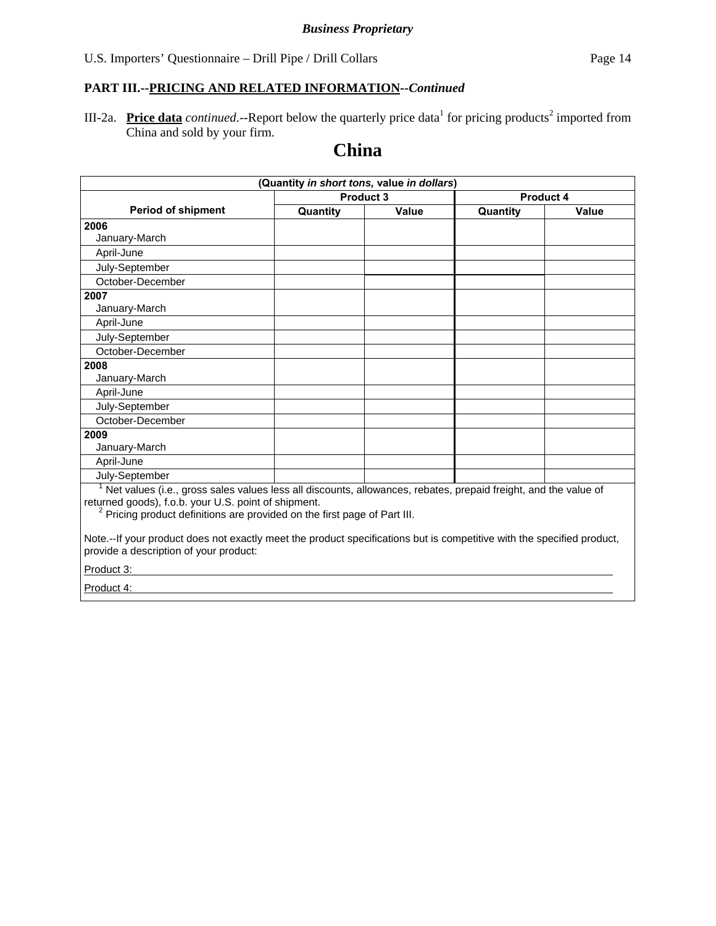III-2a. **Price data** *continued*.--Report below the quarterly price data<sup>1</sup> for pricing products<sup>2</sup> imported from China and sold by your firm.

# **China**

|                                                                                                                                                                                                                                                                 | (Quantity in short tons, value in dollars) |           |          |              |
|-----------------------------------------------------------------------------------------------------------------------------------------------------------------------------------------------------------------------------------------------------------------|--------------------------------------------|-----------|----------|--------------|
|                                                                                                                                                                                                                                                                 |                                            | Product 3 |          | Product 4    |
| <b>Period of shipment</b>                                                                                                                                                                                                                                       | Quantity                                   | Value     | Quantity | <b>Value</b> |
| 2006                                                                                                                                                                                                                                                            |                                            |           |          |              |
| January-March                                                                                                                                                                                                                                                   |                                            |           |          |              |
| April-June                                                                                                                                                                                                                                                      |                                            |           |          |              |
| July-September                                                                                                                                                                                                                                                  |                                            |           |          |              |
| October-December                                                                                                                                                                                                                                                |                                            |           |          |              |
| 2007                                                                                                                                                                                                                                                            |                                            |           |          |              |
| January-March                                                                                                                                                                                                                                                   |                                            |           |          |              |
| April-June                                                                                                                                                                                                                                                      |                                            |           |          |              |
| July-September                                                                                                                                                                                                                                                  |                                            |           |          |              |
| October-December                                                                                                                                                                                                                                                |                                            |           |          |              |
| 2008                                                                                                                                                                                                                                                            |                                            |           |          |              |
| January-March                                                                                                                                                                                                                                                   |                                            |           |          |              |
| April-June                                                                                                                                                                                                                                                      |                                            |           |          |              |
| July-September                                                                                                                                                                                                                                                  |                                            |           |          |              |
| October-December                                                                                                                                                                                                                                                |                                            |           |          |              |
| 2009                                                                                                                                                                                                                                                            |                                            |           |          |              |
| January-March                                                                                                                                                                                                                                                   |                                            |           |          |              |
| April-June                                                                                                                                                                                                                                                      |                                            |           |          |              |
| July-September                                                                                                                                                                                                                                                  |                                            |           |          |              |
| Net values (i.e., gross sales values less all discounts, allowances, rebates, prepaid freight, and the value of<br>returned goods), f.o.b. your U.S. point of shipment.<br><sup>2</sup> Pricing product definitions are provided on the first page of Part III. |                                            |           |          |              |
| Note.--If your product does not exactly meet the product specifications but is competitive with the specified product,<br>provide a description of your product:                                                                                                |                                            |           |          |              |
| Product 3:                                                                                                                                                                                                                                                      |                                            |           |          |              |

Product 4: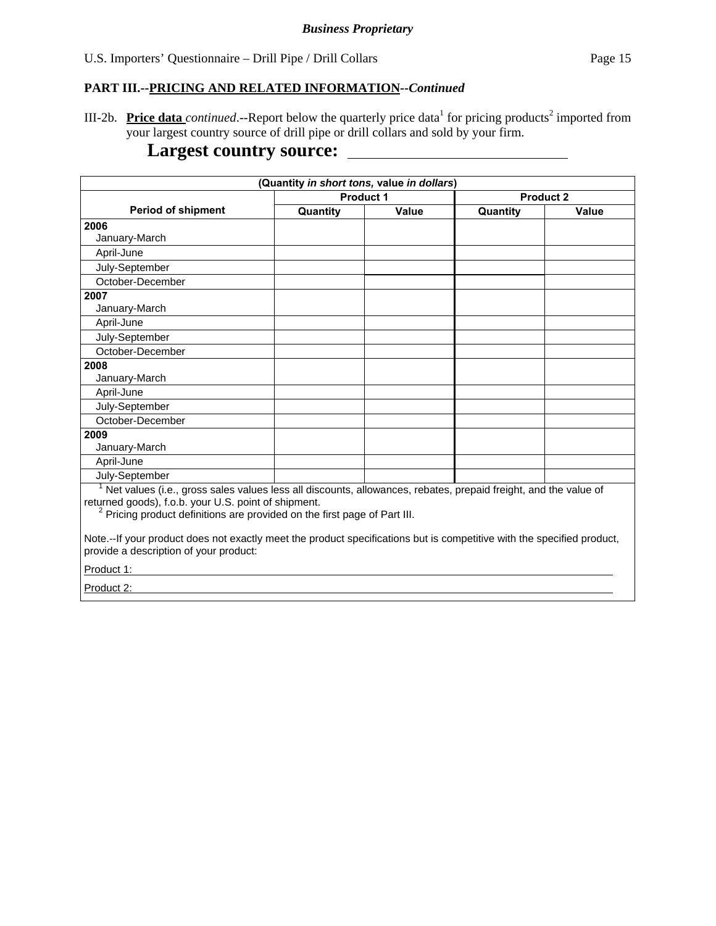III-2b. Price data *continued*.--Report below the quarterly price data<sup>1</sup> for pricing products<sup>2</sup> imported from your largest country source of drill pipe or drill collars and sold by your firm.

# **Largest country source:**

|                                                                                                                                                                                                                                                                 | (Quantity in short tons, value in dollars) |                  |                  |       |
|-----------------------------------------------------------------------------------------------------------------------------------------------------------------------------------------------------------------------------------------------------------------|--------------------------------------------|------------------|------------------|-------|
|                                                                                                                                                                                                                                                                 |                                            | <b>Product 1</b> | <b>Product 2</b> |       |
| <b>Period of shipment</b>                                                                                                                                                                                                                                       | Quantity                                   | Value            | Quantity         | Value |
| 2006                                                                                                                                                                                                                                                            |                                            |                  |                  |       |
| January-March                                                                                                                                                                                                                                                   |                                            |                  |                  |       |
| April-June                                                                                                                                                                                                                                                      |                                            |                  |                  |       |
| July-September                                                                                                                                                                                                                                                  |                                            |                  |                  |       |
| October-December                                                                                                                                                                                                                                                |                                            |                  |                  |       |
| 2007                                                                                                                                                                                                                                                            |                                            |                  |                  |       |
| January-March                                                                                                                                                                                                                                                   |                                            |                  |                  |       |
| April-June                                                                                                                                                                                                                                                      |                                            |                  |                  |       |
| July-September                                                                                                                                                                                                                                                  |                                            |                  |                  |       |
| October-December                                                                                                                                                                                                                                                |                                            |                  |                  |       |
| 2008                                                                                                                                                                                                                                                            |                                            |                  |                  |       |
| January-March                                                                                                                                                                                                                                                   |                                            |                  |                  |       |
| April-June                                                                                                                                                                                                                                                      |                                            |                  |                  |       |
| July-September                                                                                                                                                                                                                                                  |                                            |                  |                  |       |
| October-December                                                                                                                                                                                                                                                |                                            |                  |                  |       |
| 2009                                                                                                                                                                                                                                                            |                                            |                  |                  |       |
| January-March                                                                                                                                                                                                                                                   |                                            |                  |                  |       |
| April-June                                                                                                                                                                                                                                                      |                                            |                  |                  |       |
| July-September                                                                                                                                                                                                                                                  |                                            |                  |                  |       |
| Net values (i.e., gross sales values less all discounts, allowances, rebates, prepaid freight, and the value of<br>returned goods), f.o.b. your U.S. point of shipment.<br><sup>2</sup> Pricing product definitions are provided on the first page of Part III. |                                            |                  |                  |       |
| Note.--If your product does not exactly meet the product specifications but is competitive with the specified product,<br>provide a description of your product:                                                                                                |                                            |                  |                  |       |
| Product 1:                                                                                                                                                                                                                                                      |                                            |                  |                  |       |
| Product 2:                                                                                                                                                                                                                                                      |                                            |                  |                  |       |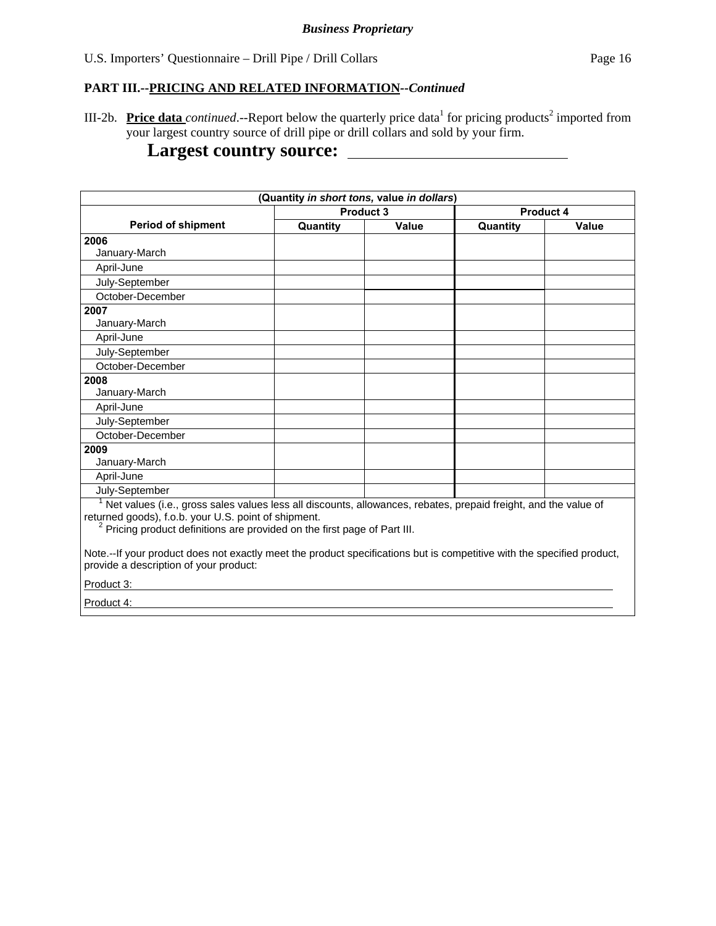# **PART III.--PRICING AND RELATED INFORMATION***--Continued*

III-2b. Price data *continued*.--Report below the quarterly price data<sup>1</sup> for pricing products<sup>2</sup> imported from your largest country source of drill pipe or drill collars and sold by your firm.

# **Largest country source:**

|                                                                                                                                                                             | (Quantity in short tons, value in dollars) |                  |           |       |
|-----------------------------------------------------------------------------------------------------------------------------------------------------------------------------|--------------------------------------------|------------------|-----------|-------|
|                                                                                                                                                                             |                                            | <b>Product 3</b> | Product 4 |       |
| <b>Period of shipment</b>                                                                                                                                                   | Quantity                                   | Value            | Quantity  | Value |
| 2006                                                                                                                                                                        |                                            |                  |           |       |
| January-March                                                                                                                                                               |                                            |                  |           |       |
| April-June                                                                                                                                                                  |                                            |                  |           |       |
| July-September                                                                                                                                                              |                                            |                  |           |       |
| October-December                                                                                                                                                            |                                            |                  |           |       |
| 2007                                                                                                                                                                        |                                            |                  |           |       |
| January-March                                                                                                                                                               |                                            |                  |           |       |
| April-June                                                                                                                                                                  |                                            |                  |           |       |
| July-September                                                                                                                                                              |                                            |                  |           |       |
| October-December                                                                                                                                                            |                                            |                  |           |       |
| 2008                                                                                                                                                                        |                                            |                  |           |       |
| January-March                                                                                                                                                               |                                            |                  |           |       |
| April-June                                                                                                                                                                  |                                            |                  |           |       |
| July-September                                                                                                                                                              |                                            |                  |           |       |
| October-December                                                                                                                                                            |                                            |                  |           |       |
| 2009                                                                                                                                                                        |                                            |                  |           |       |
| January-March                                                                                                                                                               |                                            |                  |           |       |
| April-June                                                                                                                                                                  |                                            |                  |           |       |
| July-September                                                                                                                                                              |                                            |                  |           |       |
| $1$ Net values (i.e., gross sales values less all discounts, allowances, rebates, prepaid freight, and the value of<br>returned goods), f.o.b. your U.S. point of shipment. |                                            |                  |           |       |
| <sup>2</sup> Pricing product definitions are provided on the first page of Part III.                                                                                        |                                            |                  |           |       |
| Note.--If your product does not exactly meet the product specifications but is competitive with the specified product,<br>provide a description of your product:            |                                            |                  |           |       |
| Product 3:                                                                                                                                                                  |                                            |                  |           |       |

Product 4: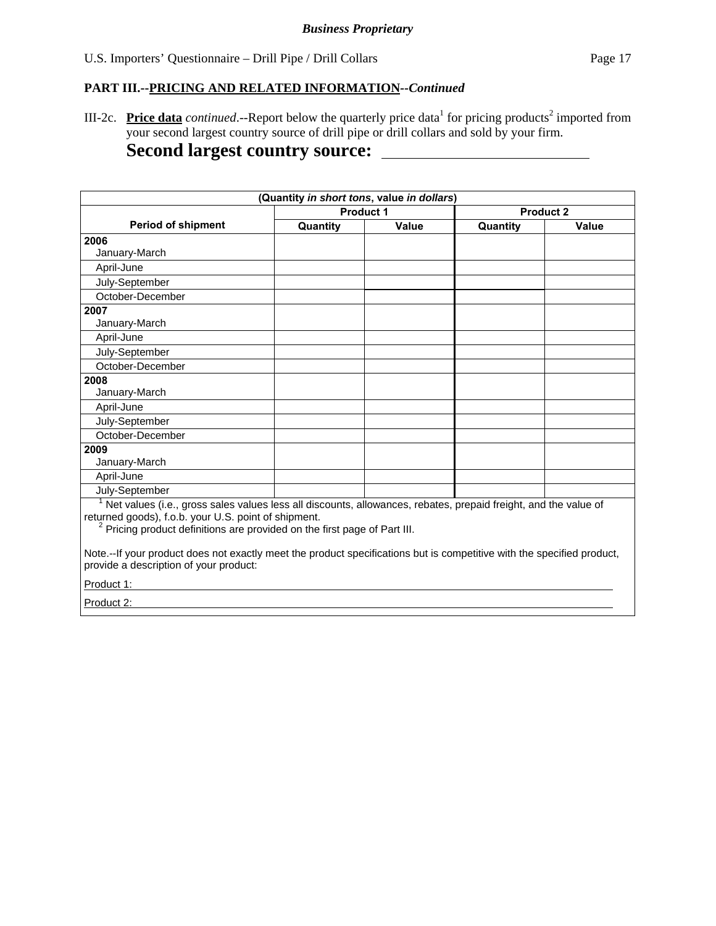III-2c. **Price data** *continued*.--Report below the quarterly price data<sup>1</sup> for pricing products<sup>2</sup> imported from your second largest country source of drill pipe or drill collars and sold by your firm.

# **Second largest country source:**

|                                                                                                                                                                                                                                                                 | (Quantity in short tons, value in dollars) |                  |          |                  |
|-----------------------------------------------------------------------------------------------------------------------------------------------------------------------------------------------------------------------------------------------------------------|--------------------------------------------|------------------|----------|------------------|
|                                                                                                                                                                                                                                                                 |                                            | <b>Product 1</b> |          | <b>Product 2</b> |
| <b>Period of shipment</b>                                                                                                                                                                                                                                       | Quantity                                   | Value            | Quantity | Value            |
| 2006                                                                                                                                                                                                                                                            |                                            |                  |          |                  |
| January-March                                                                                                                                                                                                                                                   |                                            |                  |          |                  |
| April-June                                                                                                                                                                                                                                                      |                                            |                  |          |                  |
| July-September                                                                                                                                                                                                                                                  |                                            |                  |          |                  |
| October-December                                                                                                                                                                                                                                                |                                            |                  |          |                  |
| 2007                                                                                                                                                                                                                                                            |                                            |                  |          |                  |
| January-March                                                                                                                                                                                                                                                   |                                            |                  |          |                  |
| April-June                                                                                                                                                                                                                                                      |                                            |                  |          |                  |
| July-September                                                                                                                                                                                                                                                  |                                            |                  |          |                  |
| October-December                                                                                                                                                                                                                                                |                                            |                  |          |                  |
| 2008                                                                                                                                                                                                                                                            |                                            |                  |          |                  |
| January-March                                                                                                                                                                                                                                                   |                                            |                  |          |                  |
| April-June                                                                                                                                                                                                                                                      |                                            |                  |          |                  |
| July-September                                                                                                                                                                                                                                                  |                                            |                  |          |                  |
| October-December                                                                                                                                                                                                                                                |                                            |                  |          |                  |
| 2009                                                                                                                                                                                                                                                            |                                            |                  |          |                  |
| January-March                                                                                                                                                                                                                                                   |                                            |                  |          |                  |
| April-June                                                                                                                                                                                                                                                      |                                            |                  |          |                  |
| July-September                                                                                                                                                                                                                                                  |                                            |                  |          |                  |
| Net values (i.e., gross sales values less all discounts, allowances, rebates, prepaid freight, and the value of<br>returned goods), f.o.b. your U.S. point of shipment.<br><sup>2</sup> Pricing product definitions are provided on the first page of Part III. |                                            |                  |          |                  |
| Note.--If your product does not exactly meet the product specifications but is competitive with the specified product,<br>provide a description of your product:<br>Product 1:                                                                                  |                                            |                  |          |                  |

Product 2: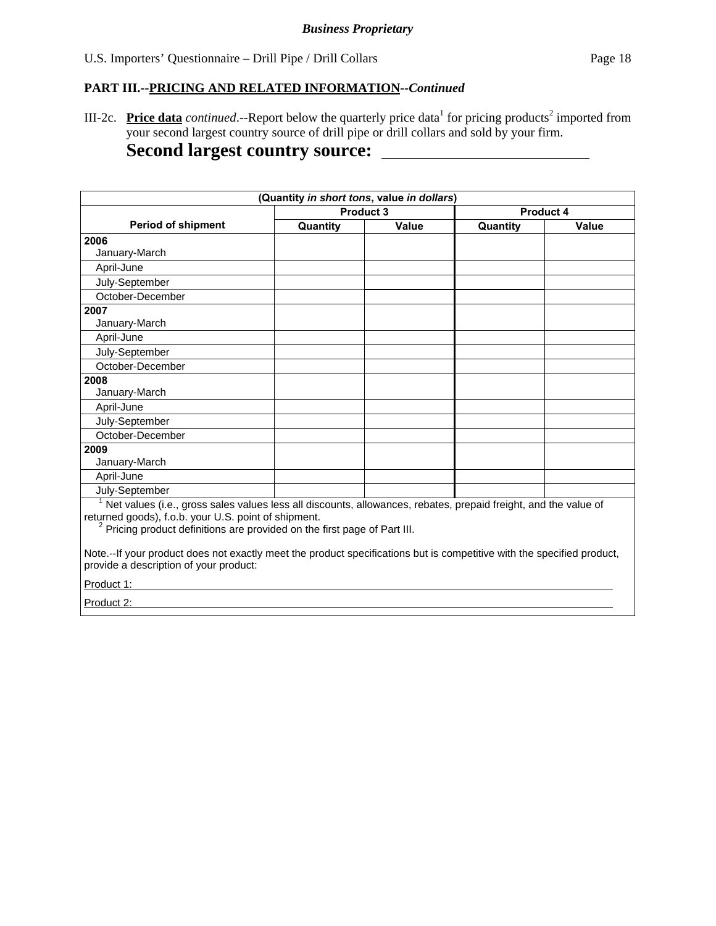III-2c. **Price data** *continued*.--Report below the quarterly price data<sup>1</sup> for pricing products<sup>2</sup> imported from your second largest country source of drill pipe or drill collars and sold by your firm.

# **Second largest country source:**

|                                                                                                                                                                                                                                                                 | (Quantity in short tons, value in dollars) |                  |          |           |
|-----------------------------------------------------------------------------------------------------------------------------------------------------------------------------------------------------------------------------------------------------------------|--------------------------------------------|------------------|----------|-----------|
|                                                                                                                                                                                                                                                                 |                                            | <b>Product 3</b> |          | Product 4 |
| <b>Period of shipment</b>                                                                                                                                                                                                                                       | Quantity                                   | Value            | Quantity | Value     |
| 2006                                                                                                                                                                                                                                                            |                                            |                  |          |           |
| January-March                                                                                                                                                                                                                                                   |                                            |                  |          |           |
| April-June                                                                                                                                                                                                                                                      |                                            |                  |          |           |
| July-September                                                                                                                                                                                                                                                  |                                            |                  |          |           |
| October-December                                                                                                                                                                                                                                                |                                            |                  |          |           |
| 2007                                                                                                                                                                                                                                                            |                                            |                  |          |           |
| January-March                                                                                                                                                                                                                                                   |                                            |                  |          |           |
| April-June                                                                                                                                                                                                                                                      |                                            |                  |          |           |
| July-September                                                                                                                                                                                                                                                  |                                            |                  |          |           |
| October-December                                                                                                                                                                                                                                                |                                            |                  |          |           |
| 2008                                                                                                                                                                                                                                                            |                                            |                  |          |           |
| January-March                                                                                                                                                                                                                                                   |                                            |                  |          |           |
| April-June                                                                                                                                                                                                                                                      |                                            |                  |          |           |
| July-September                                                                                                                                                                                                                                                  |                                            |                  |          |           |
| October-December                                                                                                                                                                                                                                                |                                            |                  |          |           |
| 2009                                                                                                                                                                                                                                                            |                                            |                  |          |           |
| January-March                                                                                                                                                                                                                                                   |                                            |                  |          |           |
| April-June                                                                                                                                                                                                                                                      |                                            |                  |          |           |
| July-September                                                                                                                                                                                                                                                  |                                            |                  |          |           |
| Net values (i.e., gross sales values less all discounts, allowances, rebates, prepaid freight, and the value of<br>returned goods), f.o.b. your U.S. point of shipment.<br><sup>2</sup> Pricing product definitions are provided on the first page of Part III. |                                            |                  |          |           |
| Note.--If your product does not exactly meet the product specifications but is competitive with the specified product,<br>provide a description of your product:                                                                                                |                                            |                  |          |           |
| Product 1:                                                                                                                                                                                                                                                      |                                            |                  |          |           |

Product 2: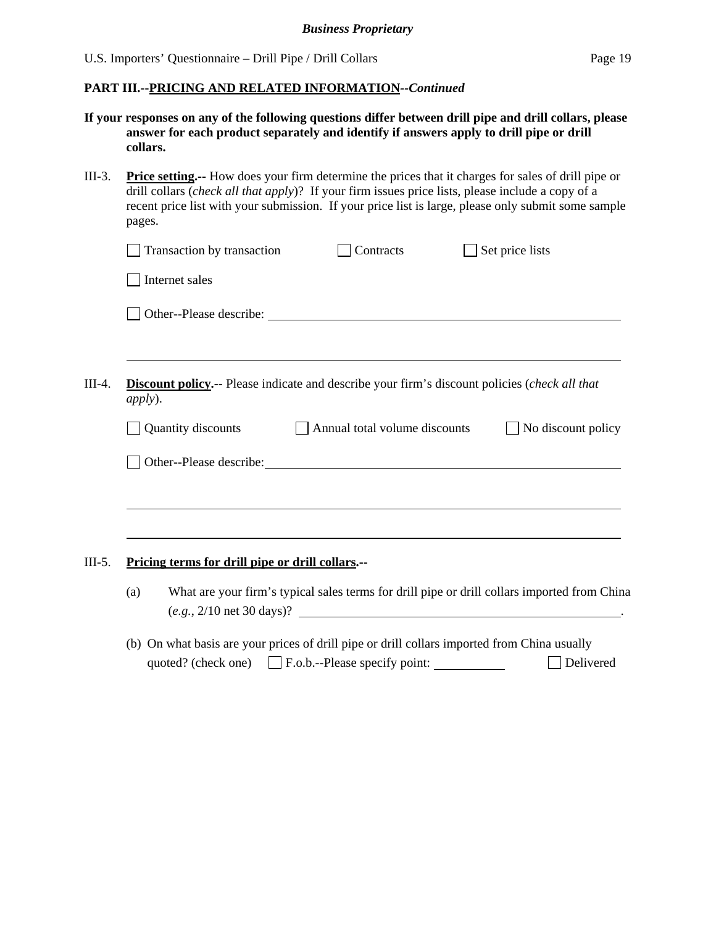| If your responses on any of the following questions differ between drill pipe and drill collars, please |
|---------------------------------------------------------------------------------------------------------|
| answer for each product separately and identify if answers apply to drill pipe or drill                 |
| collars.                                                                                                |

| III-3. | <b>Price setting</b> How does your firm determine the prices that it charges for sales of drill pipe or    |
|--------|------------------------------------------------------------------------------------------------------------|
|        | drill collars ( <i>check all that apply</i> )? If your firm issues price lists, please include a copy of a |
|        | recent price list with your submission. If your price list is large, please only submit some sample        |
|        | pages.                                                                                                     |

|        | Transaction by transaction<br>Set price lists<br>Contracts                                                                                           |
|--------|------------------------------------------------------------------------------------------------------------------------------------------------------|
|        | Internet sales                                                                                                                                       |
|        |                                                                                                                                                      |
|        |                                                                                                                                                      |
| III-4. | <b>Discount policy.</b> -- Please indicate and describe your firm's discount policies (check all that<br><i>apply</i> ).                             |
|        | Quantity discounts<br>Annual total volume discounts<br>No discount policy                                                                            |
|        | Other--Please describe:                                                                                                                              |
|        |                                                                                                                                                      |
|        |                                                                                                                                                      |
| III-5. | Pricing terms for drill pipe or drill collars.--                                                                                                     |
|        | What are your firm's typical sales terms for drill pipe or drill collars imported from China<br>(a)<br>$(e.g., 2/10 \text{ net } 30 \text{ days})$ ? |

(b) On what basis are your prices of drill pipe or drill collars imported from China usually quoted? (check one)  $\Box$  F.o.b.--Please specify point:  $\Box$  Delivered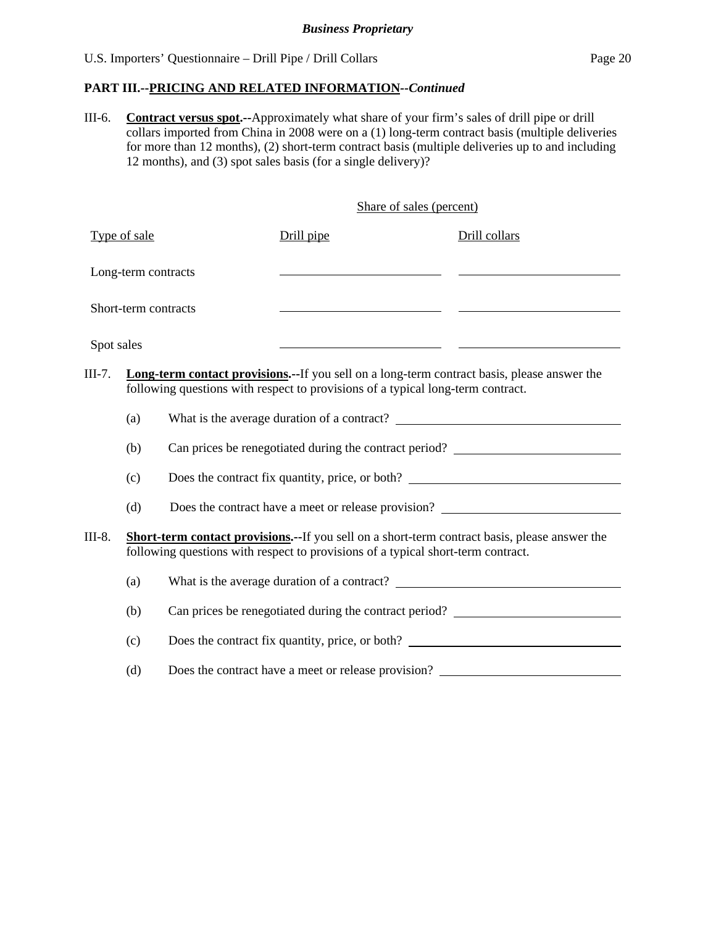### **PART III.--PRICING AND RELATED INFORMATION***--Continued*

III-6. **Contract versus spot.--**Approximately what share of your firm's sales of drill pipe or drill collars imported from China in 2008 were on a (1) long-term contract basis (multiple deliveries for more than 12 months), (2) short-term contract basis (multiple deliveries up to and including 12 months), and (3) spot sales basis (for a single delivery)?

Share of sales (percent)

|            | Type of sale         | Drill pipe                                                                                                                                                                                | Drill collars |  |
|------------|----------------------|-------------------------------------------------------------------------------------------------------------------------------------------------------------------------------------------|---------------|--|
|            | Long-term contracts  |                                                                                                                                                                                           |               |  |
|            | Short-term contracts |                                                                                                                                                                                           |               |  |
| Spot sales |                      |                                                                                                                                                                                           |               |  |
| $III-7.$   |                      | <b>Long-term contact provisions.</b> --If you sell on a long-term contract basis, please answer the<br>following questions with respect to provisions of a typical long-term contract.    |               |  |
|            | (a)                  |                                                                                                                                                                                           |               |  |
|            | (b)                  | Can prices be renegotiated during the contract period? _________________________                                                                                                          |               |  |
|            | (c)                  | Does the contract fix quantity, price, or both?                                                                                                                                           |               |  |
|            | (d)                  | Does the contract have a meet or release provision?                                                                                                                                       |               |  |
| III-8.     |                      | <b>Short-term contact provisions.--</b> If you sell on a short-term contract basis, please answer the<br>following questions with respect to provisions of a typical short-term contract. |               |  |
|            | (a)                  |                                                                                                                                                                                           |               |  |
|            | (b)                  | Can prices be renegotiated during the contract period?                                                                                                                                    |               |  |
|            | (c)                  | Does the contract fix quantity, price, or both?                                                                                                                                           |               |  |
|            | (d)                  | Does the contract have a meet or release provision?                                                                                                                                       |               |  |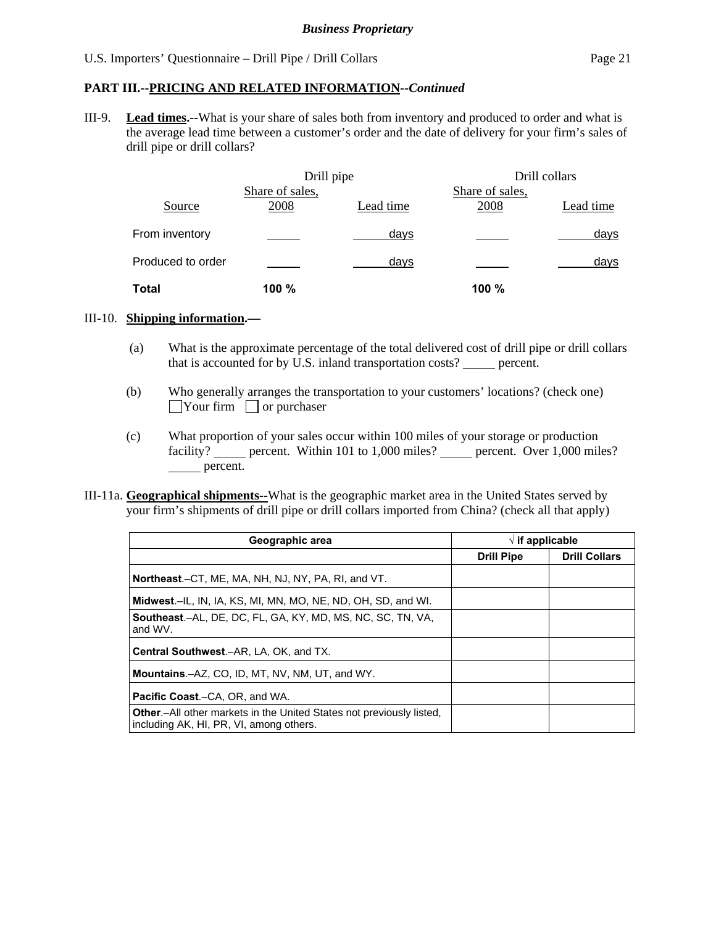## **PART III.--PRICING AND RELATED INFORMATION***--Continued*

III-9. **Lead times.--**What is your share of sales both from inventory and produced to order and what is the average lead time between a customer's order and the date of delivery for your firm's sales of drill pipe or drill collars?

|                   | Drill pipe      |           |                 | Drill collars |
|-------------------|-----------------|-----------|-----------------|---------------|
|                   | Share of sales, |           | Share of sales, |               |
| Source            | 2008            | Lead time | 2008            | Lead time     |
| From inventory    |                 | days      |                 | days          |
| Produced to order |                 | days      |                 | days          |
| Total             | 100 %           |           | 100 %           |               |

#### III-10. **Shipping information.—**

- (a) What is the approximate percentage of the total delivered cost of drill pipe or drill collars that is accounted for by U.S. inland transportation costs? \_\_\_\_\_ percent.
- (b) Who generally arranges the transportation to your customers' locations? (check one)  $\Box$ Your firm  $\Box$  or purchaser
- (c) What proportion of your sales occur within 100 miles of your storage or production facility? percent. Within 101 to 1,000 miles? percent. Over 1,000 miles? percent.
- III-11a. **Geographical shipments--**What is the geographic market area in the United States served by your firm's shipments of drill pipe or drill collars imported from China? (check all that apply)

| Geographic area                                                                                                 |                   | $\sqrt{ }$ if applicable |
|-----------------------------------------------------------------------------------------------------------------|-------------------|--------------------------|
|                                                                                                                 | <b>Drill Pipe</b> | <b>Drill Collars</b>     |
| <b>Northeast.</b> –CT, ME, MA, NH, NJ, NY, PA, RI, and VT.                                                      |                   |                          |
| <b>Midwest.</b> –IL, IN, IA, KS, MI, MN, MO, NE, ND, OH, SD, and WI.                                            |                   |                          |
| <b>Southeast.-AL, DE, DC, FL, GA, KY, MD, MS, NC, SC, TN, VA,</b><br>and WV.                                    |                   |                          |
| <b>Central Southwest.–AR, LA, OK, and TX.</b>                                                                   |                   |                          |
| <b>Mountains.-AZ, CO, ID, MT, NV, NM, UT, and WY.</b>                                                           |                   |                          |
| <b>Pacific Coast.–CA, OR, and WA.</b>                                                                           |                   |                          |
| Other.-All other markets in the United States not previously listed,<br>including AK, HI, PR, VI, among others. |                   |                          |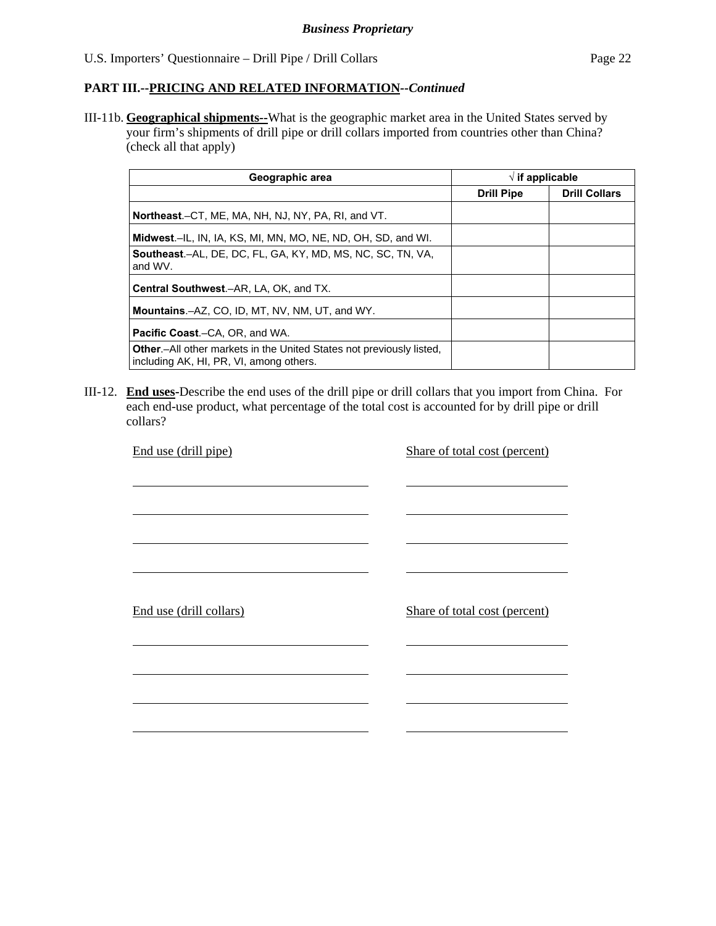III-11b. **Geographical shipments--**What is the geographic market area in the United States served by your firm's shipments of drill pipe or drill collars imported from countries other than China? (check all that apply)

| Geographic area                                                                                                         | $\sqrt{ }$ if applicable |                      |
|-------------------------------------------------------------------------------------------------------------------------|--------------------------|----------------------|
|                                                                                                                         | <b>Drill Pipe</b>        | <b>Drill Collars</b> |
| Northeast.–CT, ME, MA, NH, NJ, NY, PA, RI, and VT.                                                                      |                          |                      |
| Midwest.-IL, IN, IA, KS, MI, MN, MO, NE, ND, OH, SD, and WI.                                                            |                          |                      |
| <b>Southeast.-AL, DE, DC, FL, GA, KY, MD, MS, NC, SC, TN, VA,</b><br>and WV.                                            |                          |                      |
| <b>Central Southwest.–AR, LA, OK, and TX.</b>                                                                           |                          |                      |
| <b>Mountains.-AZ, CO, ID, MT, NV, NM, UT, and WY.</b>                                                                   |                          |                      |
| <b>Pacific Coast.–CA, OR, and WA.</b>                                                                                   |                          |                      |
| <b>Other.</b> —All other markets in the United States not previously listed,<br>including AK, HI, PR, VI, among others. |                          |                      |

III-12. **End uses-**Describe the end uses of the drill pipe or drill collars that you import from China. For each end-use product, what percentage of the total cost is accounted for by drill pipe or drill collars?

| End use (drill pipe)    | Share of total cost (percent) |
|-------------------------|-------------------------------|
|                         |                               |
|                         |                               |
|                         |                               |
|                         |                               |
|                         |                               |
| End use (drill collars) | Share of total cost (percent) |
|                         |                               |
|                         |                               |
|                         |                               |
|                         |                               |
|                         |                               |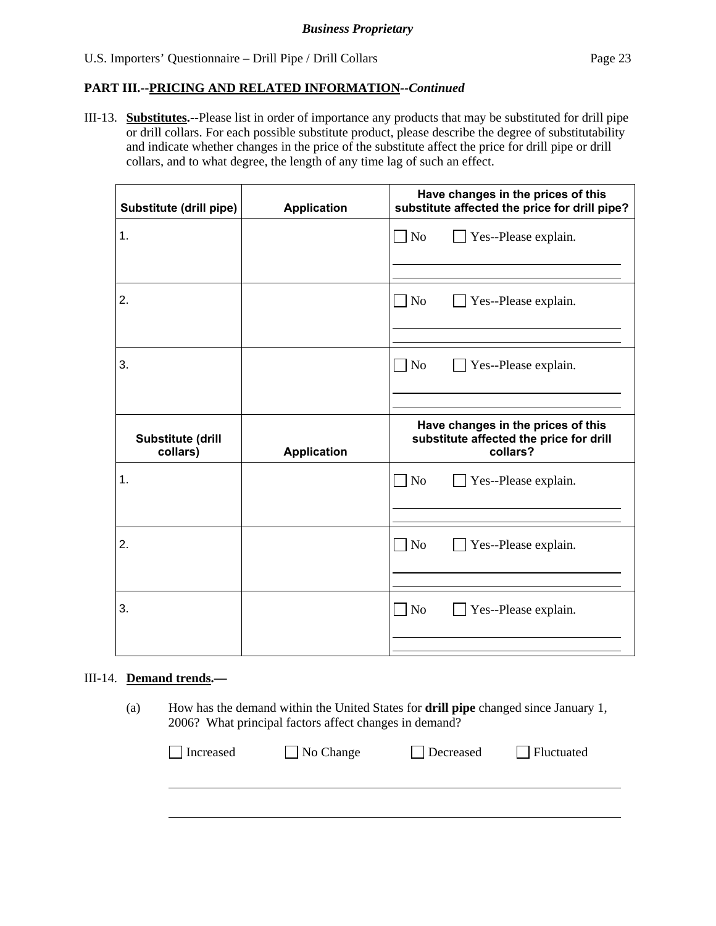III-13. **Substitutes.--**Please list in order of importance any products that may be substituted for drill pipe or drill collars. For each possible substitute product, please describe the degree of substitutability and indicate whether changes in the price of the substitute affect the price for drill pipe or drill collars, and to what degree, the length of any time lag of such an effect.

| Substitute (drill pipe)       | <b>Application</b> | Have changes in the prices of this<br>substitute affected the price for drill pipe?       |
|-------------------------------|--------------------|-------------------------------------------------------------------------------------------|
| 1.                            |                    | $\Box$ No<br>Yes--Please explain.                                                         |
|                               |                    |                                                                                           |
| 2.                            |                    | $\exists$ No<br>Yes--Please explain.                                                      |
|                               |                    |                                                                                           |
| 3.                            |                    | No<br>Yes--Please explain.                                                                |
|                               |                    |                                                                                           |
|                               |                    |                                                                                           |
| Substitute (drill<br>collars) | <b>Application</b> | Have changes in the prices of this<br>substitute affected the price for drill<br>collars? |
| 1.                            |                    | N <sub>o</sub><br>Yes--Please explain.                                                    |
|                               |                    |                                                                                           |
| 2.                            |                    | N <sub>o</sub><br>Yes--Please explain.                                                    |
|                               |                    |                                                                                           |
| 3.                            |                    | N <sub>o</sub><br>Yes--Please explain.                                                    |

### III-14. **Demand trends.—**

(a) How has the demand within the United States for **drill pipe** changed since January 1, 2006? What principal factors affect changes in demand?

| Increased | $\Box$ No Change | Decreased | Fluctuated |
|-----------|------------------|-----------|------------|
|           |                  |           |            |
|           |                  |           |            |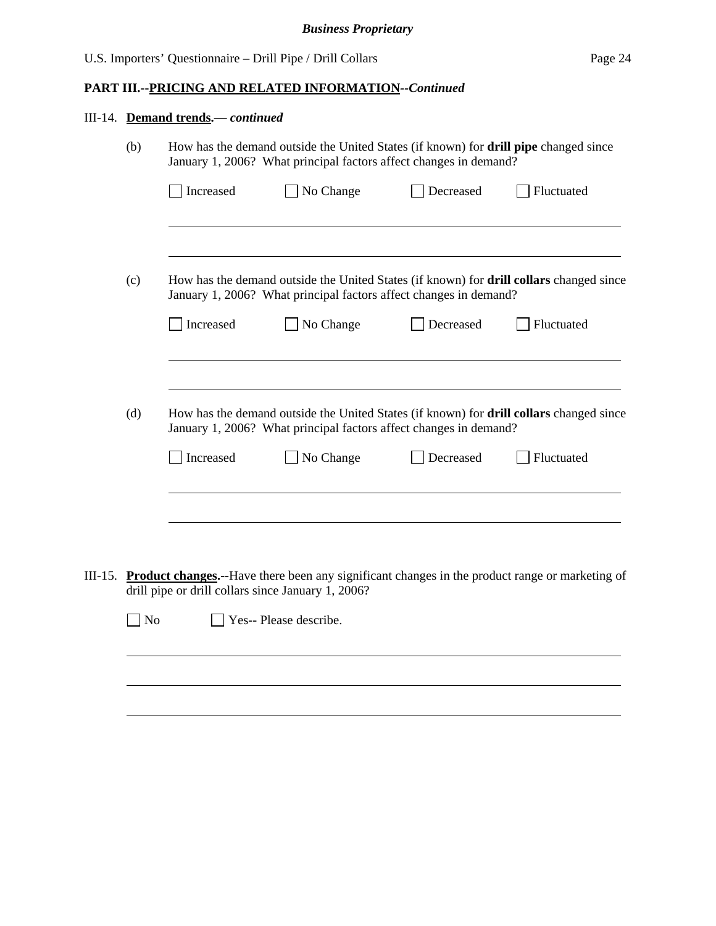# **PART III.--PRICING AND RELATED INFORMATION***--Continued*

|         | III-14. Demand trends.- continued |           |                                                                                                                                                           |           |                                                                                                        |  |
|---------|-----------------------------------|-----------|-----------------------------------------------------------------------------------------------------------------------------------------------------------|-----------|--------------------------------------------------------------------------------------------------------|--|
|         | (b)                               |           | How has the demand outside the United States (if known) for drill pipe changed since<br>January 1, 2006? What principal factors affect changes in demand? |           |                                                                                                        |  |
|         |                                   | Increased | No Change                                                                                                                                                 | Decreased | Fluctuated                                                                                             |  |
|         | (c)                               |           | January 1, 2006? What principal factors affect changes in demand?                                                                                         |           | How has the demand outside the United States (if known) for <b>drill collars</b> changed since         |  |
|         |                                   | Increased | No Change                                                                                                                                                 | Decreased | Fluctuated                                                                                             |  |
|         | (d)                               |           | January 1, 2006? What principal factors affect changes in demand?                                                                                         |           | How has the demand outside the United States (if known) for <b>drill collars</b> changed since         |  |
|         |                                   | Increased | No Change                                                                                                                                                 | Decreased | Fluctuated                                                                                             |  |
|         |                                   |           |                                                                                                                                                           |           |                                                                                                        |  |
| III-15. |                                   |           | drill pipe or drill collars since January 1, 2006?                                                                                                        |           | <b>Product changes.</b> --Have there been any significant changes in the product range or marketing of |  |
|         | N <sub>o</sub>                    |           | Yes-- Please describe.                                                                                                                                    |           |                                                                                                        |  |
|         |                                   |           |                                                                                                                                                           |           |                                                                                                        |  |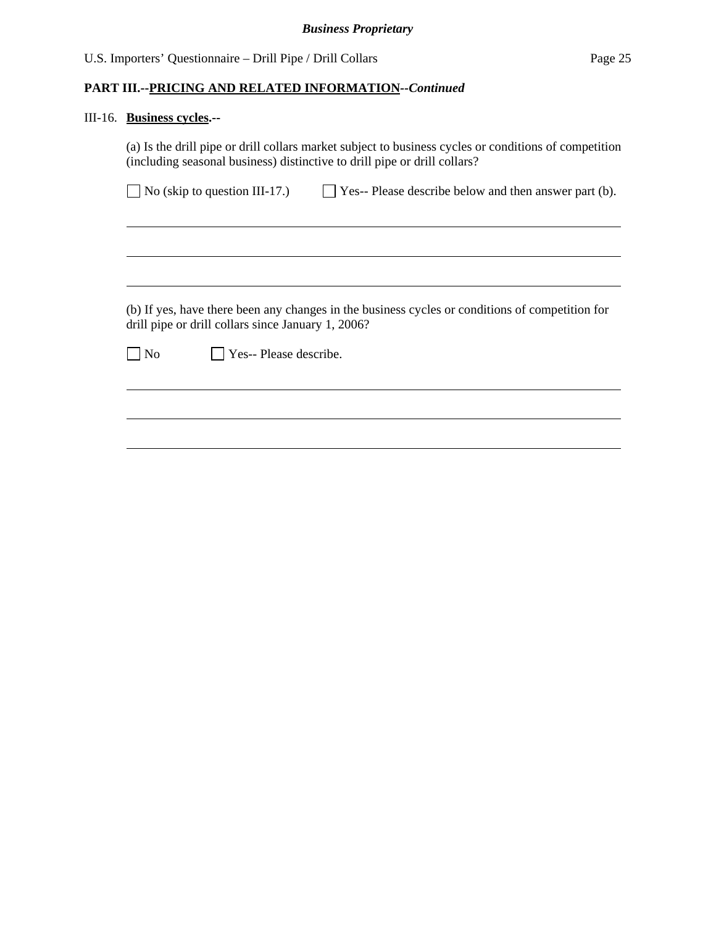# III-16. **Business cycles.--**

|    | No (skip to question III-17.)                      | Yes-- Please describe below and then answer part (b).                                           |
|----|----------------------------------------------------|-------------------------------------------------------------------------------------------------|
|    |                                                    |                                                                                                 |
|    |                                                    |                                                                                                 |
|    |                                                    |                                                                                                 |
|    |                                                    |                                                                                                 |
|    |                                                    |                                                                                                 |
|    | drill pipe or drill collars since January 1, 2006? | (b) If yes, have there been any changes in the business cycles or conditions of competition for |
| No | Yes-- Please describe.                             |                                                                                                 |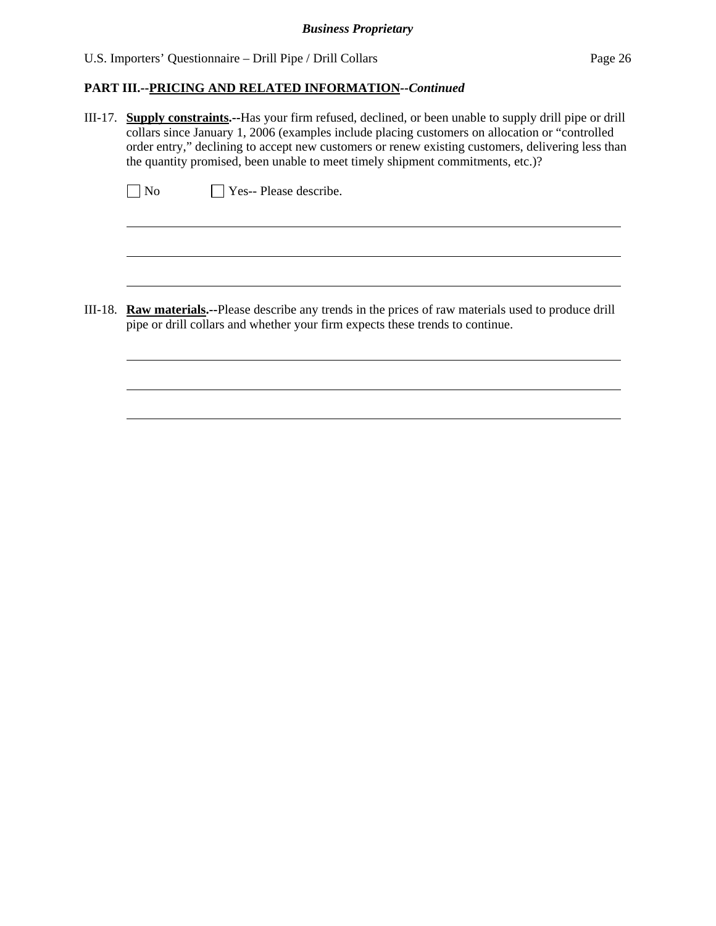# **PART III.--PRICING AND RELATED INFORMATION***--Continued*

III-17. **Supply constraints.--**Has your firm refused, declined, or been unable to supply drill pipe or drill collars since January 1, 2006 (examples include placing customers on allocation or "controlled order entry," declining to accept new customers or renew existing customers, delivering less than the quantity promised, been unable to meet timely shipment commitments, etc.)?

No **Yes--** Please describe.

 $\overline{a}$ 

l

III-18. **Raw materials.--**Please describe any trends in the prices of raw materials used to produce drill pipe or drill collars and whether your firm expects these trends to continue.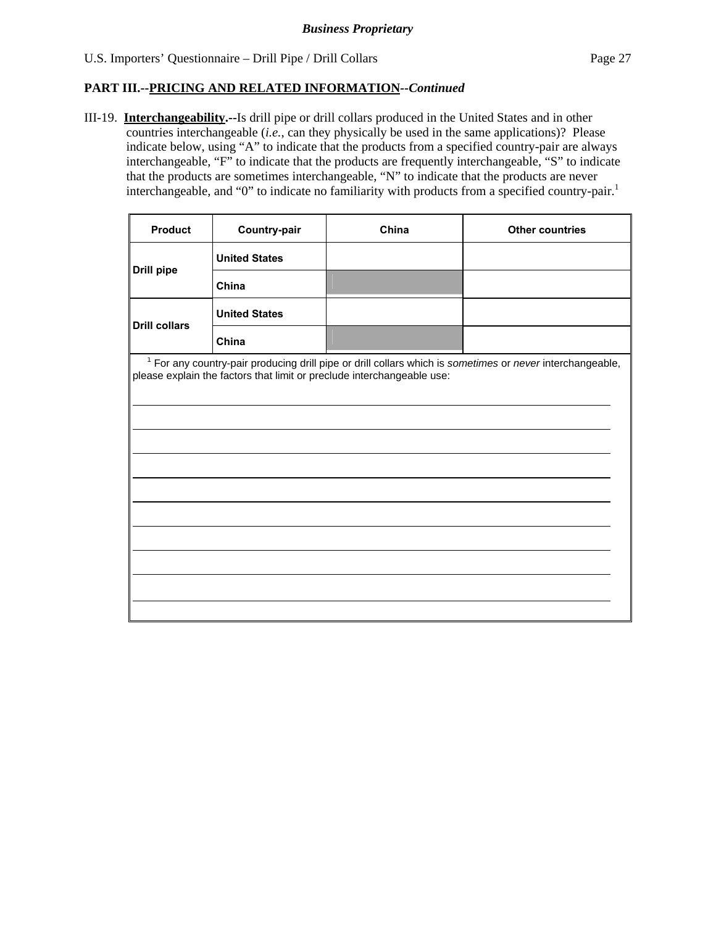III-19. **Interchangeability.--**Is drill pipe or drill collars produced in the United States and in other countries interchangeable (*i.e.*, can they physically be used in the same applications)? Please indicate below, using "A" to indicate that the products from a specified country-pair are always interchangeable, "F" to indicate that the products are frequently interchangeable, "S" to indicate that the products are sometimes interchangeable, "N" to indicate that the products are never interchangeable, and "0" to indicate no familiarity with products from a specified country-pair.<sup>1</sup>

| <b>Product</b>       | Country-pair         | China                                                                  | <b>Other countries</b>                                                                                               |  |  |
|----------------------|----------------------|------------------------------------------------------------------------|----------------------------------------------------------------------------------------------------------------------|--|--|
|                      | <b>United States</b> |                                                                        |                                                                                                                      |  |  |
| <b>Drill pipe</b>    | China                |                                                                        |                                                                                                                      |  |  |
| <b>Drill collars</b> | <b>United States</b> |                                                                        |                                                                                                                      |  |  |
|                      | China                |                                                                        |                                                                                                                      |  |  |
|                      |                      | please explain the factors that limit or preclude interchangeable use: | <sup>1</sup> For any country-pair producing drill pipe or drill collars which is sometimes or never interchangeable, |  |  |
|                      |                      |                                                                        |                                                                                                                      |  |  |
|                      |                      |                                                                        |                                                                                                                      |  |  |
|                      |                      |                                                                        |                                                                                                                      |  |  |
|                      |                      |                                                                        |                                                                                                                      |  |  |
|                      |                      |                                                                        |                                                                                                                      |  |  |
|                      |                      |                                                                        |                                                                                                                      |  |  |
|                      |                      |                                                                        |                                                                                                                      |  |  |
|                      |                      |                                                                        |                                                                                                                      |  |  |
|                      |                      |                                                                        |                                                                                                                      |  |  |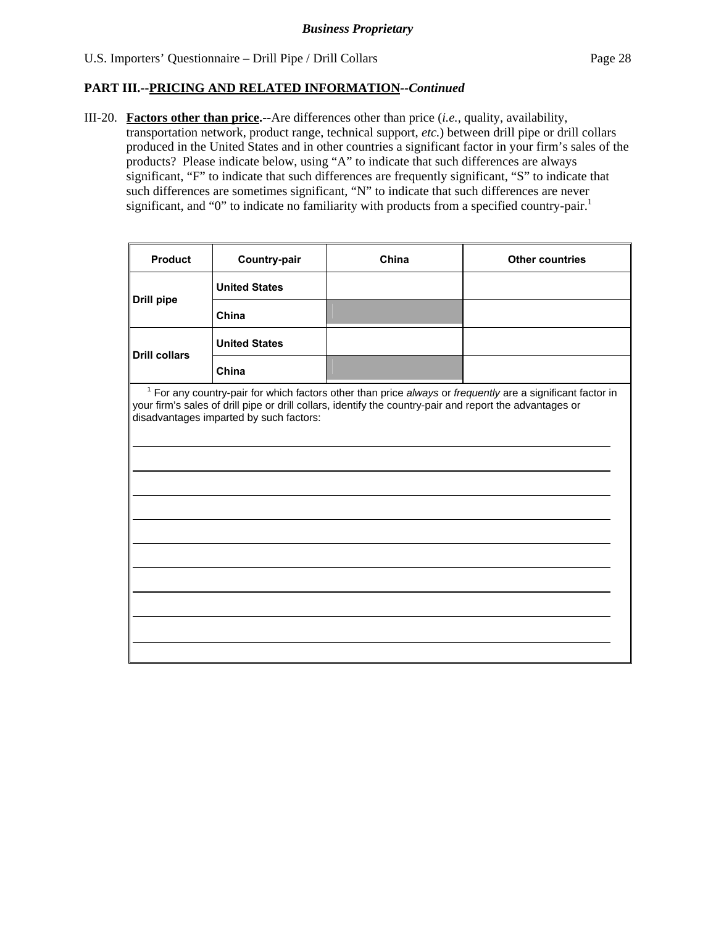$\mathbf{r}$ 

### **PART III.--PRICING AND RELATED INFORMATION***--Continued*

III-20. **Factors other than price.--**Are differences other than price (*i.e.*, quality, availability, transportation network, product range, technical support, *etc.*) between drill pipe or drill collars produced in the United States and in other countries a significant factor in your firm's sales of the products? Please indicate below, using "A" to indicate that such differences are always significant, "F" to indicate that such differences are frequently significant, "S" to indicate that such differences are sometimes significant, "N" to indicate that such differences are never significant, and "0" to indicate no familiarity with products from a specified country-pair.<sup>1</sup>

| <b>Product</b>       | Country-pair                            | China                                                                                                    | <b>Other countries</b>                                                                                                |
|----------------------|-----------------------------------------|----------------------------------------------------------------------------------------------------------|-----------------------------------------------------------------------------------------------------------------------|
| <b>Drill pipe</b>    | <b>United States</b>                    |                                                                                                          |                                                                                                                       |
|                      | China                                   |                                                                                                          |                                                                                                                       |
| <b>Drill collars</b> | <b>United States</b>                    |                                                                                                          |                                                                                                                       |
|                      | China                                   |                                                                                                          |                                                                                                                       |
|                      | disadvantages imparted by such factors: | your firm's sales of drill pipe or drill collars, identify the country-pair and report the advantages or | <sup>1</sup> For any country-pair for which factors other than price always or frequently are a significant factor in |
|                      |                                         |                                                                                                          |                                                                                                                       |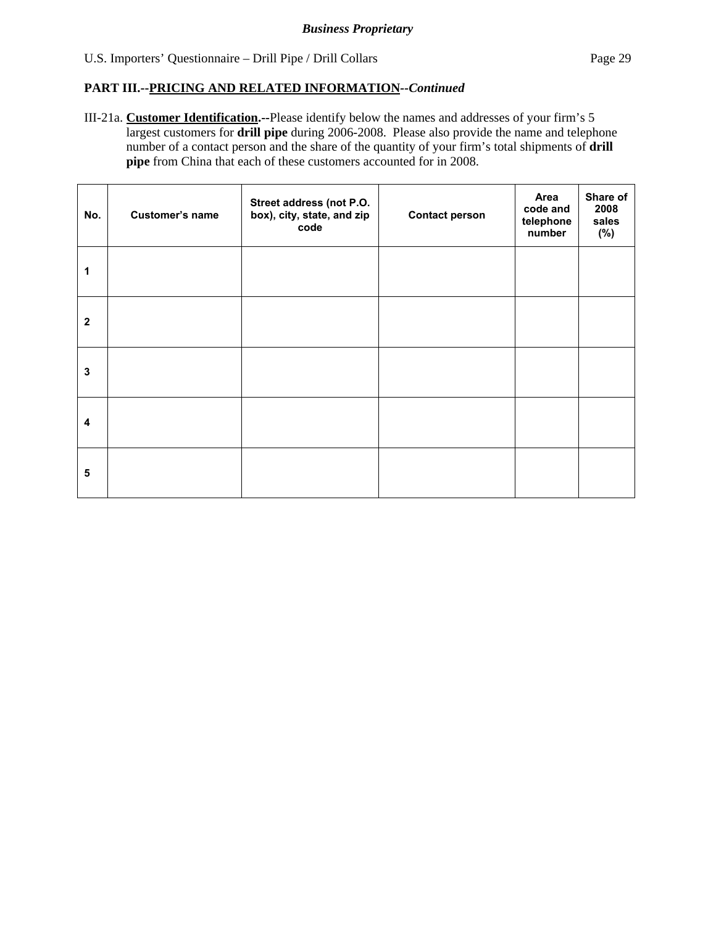III-21a. **Customer Identification.--**Please identify below the names and addresses of your firm's 5 largest customers for **drill pipe** during 2006-2008. Please also provide the name and telephone number of a contact person and the share of the quantity of your firm's total shipments of **drill pipe** from China that each of these customers accounted for in 2008.

| No.                     | <b>Customer's name</b> | Street address (not P.O.<br>box), city, state, and zip<br>code | <b>Contact person</b> | Area<br>code and<br>telephone<br>number | Share of<br>2008<br>sales<br>(%) |
|-------------------------|------------------------|----------------------------------------------------------------|-----------------------|-----------------------------------------|----------------------------------|
| 1                       |                        |                                                                |                       |                                         |                                  |
| $\mathbf{2}$            |                        |                                                                |                       |                                         |                                  |
| 3                       |                        |                                                                |                       |                                         |                                  |
| $\overline{\mathbf{4}}$ |                        |                                                                |                       |                                         |                                  |
| 5                       |                        |                                                                |                       |                                         |                                  |